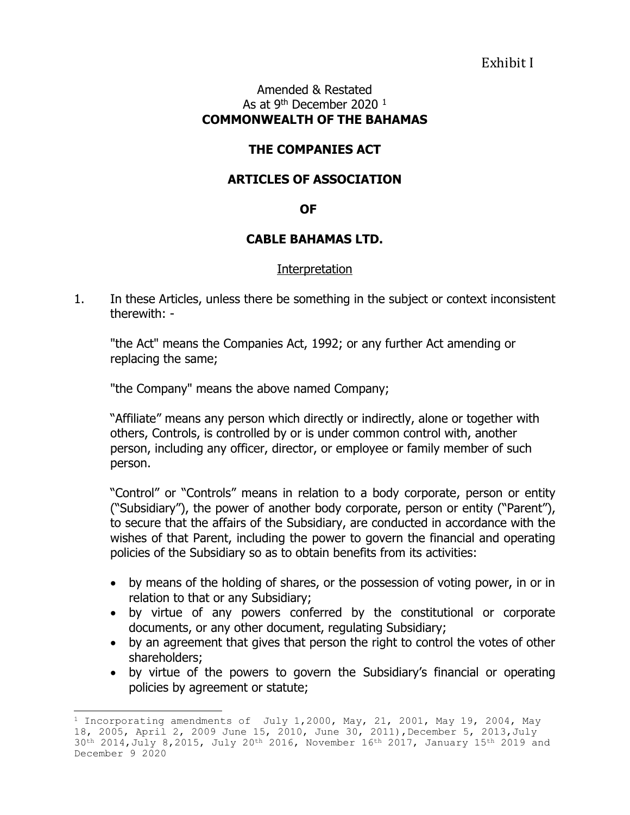Exhibit I

#### Amended & Restated As at 9<sup>th</sup> December 2020  $^1$ **COMMONWEALTH OF THE BAHAMAS**

# **THE COMPANIES ACT**

## **ARTICLES OF ASSOCIATION**

#### **OF**

#### **CABLE BAHAMAS LTD.**

#### Interpretation

1. In these Articles, unless there be something in the subject or context inconsistent therewith: -

"the Act" means the Companies Act, 1992; or any further Act amending or replacing the same;

"the Company" means the above named Company;

÷,

"Affiliate" means any person which directly or indirectly, alone or together with others, Controls, is controlled by or is under common control with, another person, including any officer, director, or employee or family member of such person.

"Control" or "Controls" means in relation to a body corporate, person or entity ("Subsidiary"), the power of another body corporate, person or entity ("Parent"), to secure that the affairs of the Subsidiary, are conducted in accordance with the wishes of that Parent, including the power to govern the financial and operating policies of the Subsidiary so as to obtain benefits from its activities:

- by means of the holding of shares, or the possession of voting power, in or in relation to that or any Subsidiary;
- by virtue of any powers conferred by the constitutional or corporate documents, or any other document, regulating Subsidiary;
- by an agreement that gives that person the right to control the votes of other shareholders;
- by virtue of the powers to govern the Subsidiary's financial or operating policies by agreement or statute;

<sup>&</sup>lt;sup>1</sup> Incorporating amendments of July 1,2000, May, 21, 2001, May 19, 2004, May 18, 2005, April 2, 2009 June 15, 2010, June 30, 2011), December 5, 2013, July 30th 2014,July 8,2015, July 20th 2016, November 16th 2017, January 15th 2019 and December 9 2020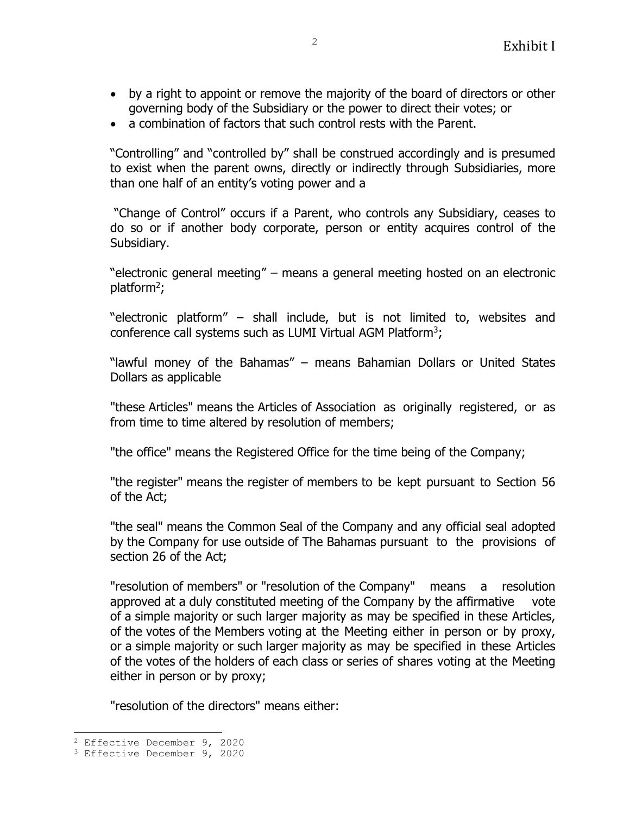- by a right to appoint or remove the majority of the board of directors or other governing body of the Subsidiary or the power to direct their votes; or
- a combination of factors that such control rests with the Parent.

"Controlling" and "controlled by" shall be construed accordingly and is presumed to exist when the parent owns, directly or indirectly through Subsidiaries, more than one half of an entity's voting power and a

"Change of Control" occurs if a Parent, who controls any Subsidiary, ceases to do so or if another body corporate, person or entity acquires control of the Subsidiary.

"electronic general meeting" – means a general meeting hosted on an electronic platform<sup>2</sup>;

"electronic platform" – shall include, but is not limited to, websites and conference call systems such as LUMI Virtual AGM Platform<sup>3</sup>;

"lawful money of the Bahamas" – means Bahamian Dollars or United States Dollars as applicable

"these Articles" means the Articles of Association as originally registered, or as from time to time altered by resolution of members;

"the office" means the Registered Office for the time being of the Company;

"the register" means the register of members to be kept pursuant to Section 56 of the Act;

"the seal" means the Common Seal of the Company and any official seal adopted by the Company for use outside of The Bahamas pursuant to the provisions of section 26 of the Act;

"resolution of members" or "resolution of the Company" means a resolution approved at a duly constituted meeting of the Company by the affirmative vote of a simple majority or such larger majority as may be specified in these Articles, of the votes of the Members voting at the Meeting either in person or by proxy, or a simple majority or such larger majority as may be specified in these Articles of the votes of the holders of each class or series of shares voting at the Meeting either in person or by proxy;

"resolution of the directors" means either:

j.

<sup>2</sup> Effective December 9, 2020

<sup>3</sup> Effective December 9, 2020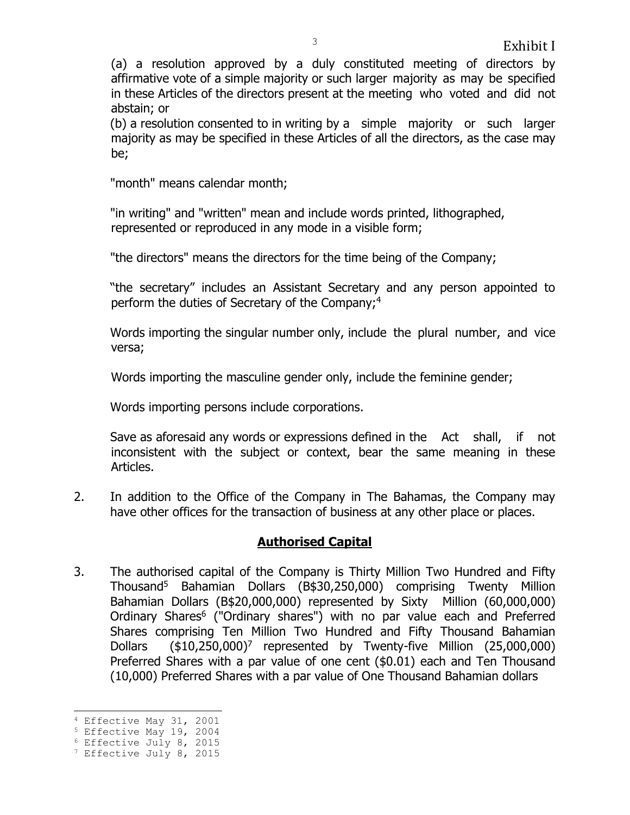(a) a resolution approved by a duly constituted meeting of directors by affirmative vote of a simple majority or such larger majority as may be specified in these Articles of the directors present at the meeting who voted and did not abstain; or

(b) a resolution consented to in writing by a simple majority or such larger majority as may be specified in these Articles of all the directors, as the case may be;

"month" means calendar month;

"in writing" and "written" mean and include words printed, lithographed, represented or reproduced in any mode in a visible form;

"the directors" means the directors for the time being of the Company;

"the secretary" includes an Assistant Secretary and any person appointed to perform the duties of Secretary of the Company;<sup>4</sup>

Words importing the singular number only, include the plural number, and vice versa;

Words importing the masculine gender only, include the feminine gender;

Words importing persons include corporations.

Save as aforesaid any words or expressions defined in the Act shall, if not inconsistent with the subject or context, bear the same meaning in these Articles.

2. In addition to the Office of the Company in The Bahamas, the Company may have other offices for the transaction of business at any other place or places.

# **Authorised Capital**

3. The authorised capital of the Company is Thirty Million Two Hundred and Fifty Thousand<sup>5</sup> Bahamian Dollars (B\$30,250,000) comprising Twenty Million Bahamian Dollars (B\$20,000,000) represented by Sixty Million (60,000,000) Ordinary Shares<sup>6</sup> ("Ordinary shares") with no par value each and Preferred Shares comprising Ten Million Two Hundred and Fifty Thousand Bahamian Dollars (\$10,250,000)<sup>7</sup> represented by Twenty-five Million (25,000,000) Preferred Shares with a par value of one cent (\$0.01) each and Ten Thousand (10,000) Preferred Shares with a par value of One Thousand Bahamian dollars

<sup>÷,</sup> <sup>4</sup> Effective May 31, 2001

<sup>5</sup> Effective May 19, 2004

<sup>6</sup> Effective July 8, 2015

<sup>&</sup>lt;sup>7</sup> Effective July 8, 2015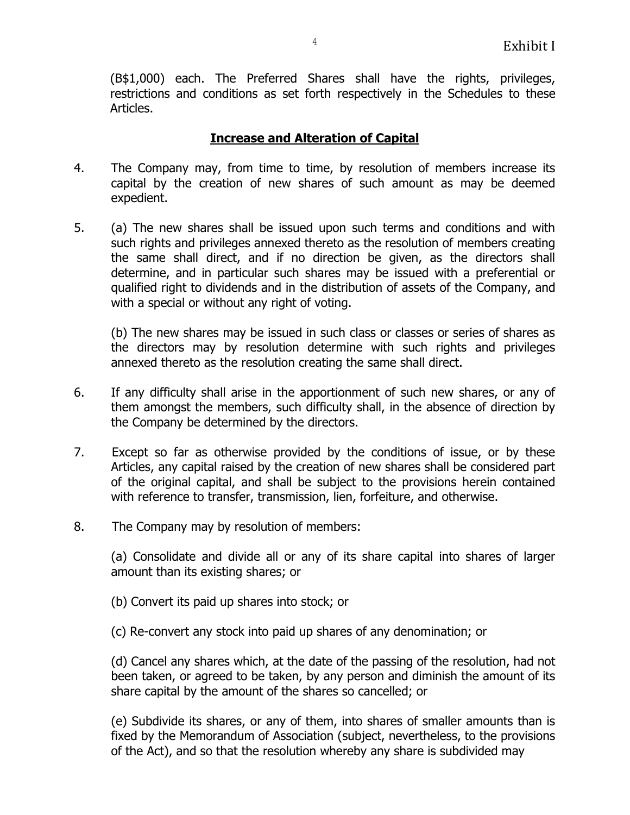(B\$1,000) each. The Preferred Shares shall have the rights, privileges, restrictions and conditions as set forth respectively in the Schedules to these Articles.

### **Increase and Alteration of Capital**

- 4. The Company may, from time to time, by resolution of members increase its capital by the creation of new shares of such amount as may be deemed expedient.
- 5. (a) The new shares shall be issued upon such terms and conditions and with such rights and privileges annexed thereto as the resolution of members creating the same shall direct, and if no direction be given, as the directors shall determine, and in particular such shares may be issued with a preferential or qualified right to dividends and in the distribution of assets of the Company, and with a special or without any right of voting.

(b) The new shares may be issued in such class or classes or series of shares as the directors may by resolution determine with such rights and privileges annexed thereto as the resolution creating the same shall direct.

- 6. If any difficulty shall arise in the apportionment of such new shares, or any of them amongst the members, such difficulty shall, in the absence of direction by the Company be determined by the directors.
- 7. Except so far as otherwise provided by the conditions of issue, or by these Articles, any capital raised by the creation of new shares shall be considered part of the original capital, and shall be subject to the provisions herein contained with reference to transfer, transmission, lien, forfeiture, and otherwise.
- 8. The Company may by resolution of members:

(a) Consolidate and divide all or any of its share capital into shares of larger amount than its existing shares; or

- (b) Convert its paid up shares into stock; or
- (c) Re-convert any stock into paid up shares of any denomination; or

(d) Cancel any shares which, at the date of the passing of the resolution, had not been taken, or agreed to be taken, by any person and diminish the amount of its share capital by the amount of the shares so cancelled; or

(e) Subdivide its shares, or any of them, into shares of smaller amounts than is fixed by the Memorandum of Association (subject, nevertheless, to the provisions of the Act), and so that the resolution whereby any share is subdivided may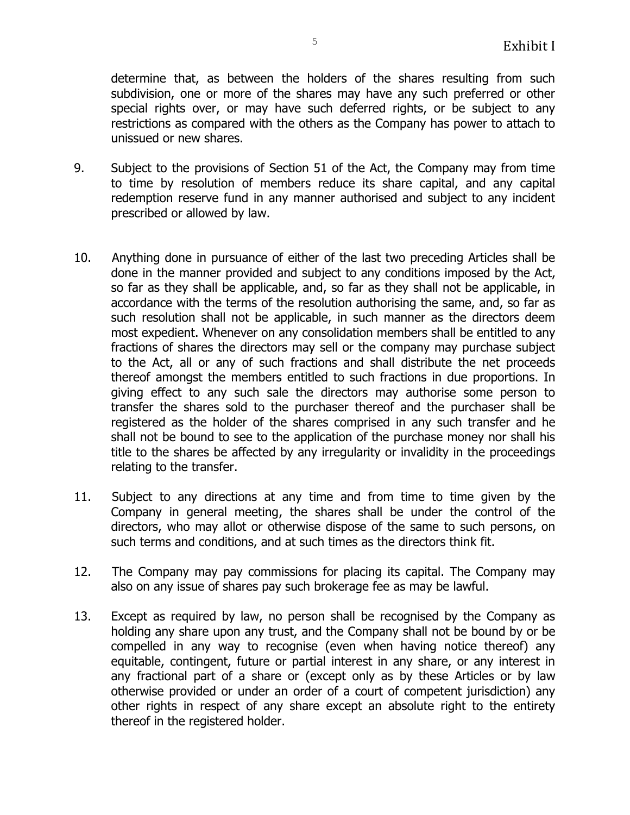determine that, as between the holders of the shares resulting from such subdivision, one or more of the shares may have any such preferred or other special rights over, or may have such deferred rights, or be subject to any restrictions as compared with the others as the Company has power to attach to unissued or new shares.

- 9. Subject to the provisions of Section 51 of the Act, the Company may from time to time by resolution of members reduce its share capital, and any capital redemption reserve fund in any manner authorised and subject to any incident prescribed or allowed by law.
- 10. Anything done in pursuance of either of the last two preceding Articles shall be done in the manner provided and subject to any conditions imposed by the Act, so far as they shall be applicable, and, so far as they shall not be applicable, in accordance with the terms of the resolution authorising the same, and, so far as such resolution shall not be applicable, in such manner as the directors deem most expedient. Whenever on any consolidation members shall be entitled to any fractions of shares the directors may sell or the company may purchase subject to the Act, all or any of such fractions and shall distribute the net proceeds thereof amongst the members entitled to such fractions in due proportions. In giving effect to any such sale the directors may authorise some person to transfer the shares sold to the purchaser thereof and the purchaser shall be registered as the holder of the shares comprised in any such transfer and he shall not be bound to see to the application of the purchase money nor shall his title to the shares be affected by any irregularity or invalidity in the proceedings relating to the transfer.
- 11. Subject to any directions at any time and from time to time given by the Company in general meeting, the shares shall be under the control of the directors, who may allot or otherwise dispose of the same to such persons, on such terms and conditions, and at such times as the directors think fit.
- 12. The Company may pay commissions for placing its capital. The Company may also on any issue of shares pay such brokerage fee as may be lawful.
- 13. Except as required by law, no person shall be recognised by the Company as holding any share upon any trust, and the Company shall not be bound by or be compelled in any way to recognise (even when having notice thereof) any equitable, contingent, future or partial interest in any share, or any interest in any fractional part of a share or (except only as by these Articles or by law otherwise provided or under an order of a court of competent jurisdiction) any other rights in respect of any share except an absolute right to the entirety thereof in the registered holder.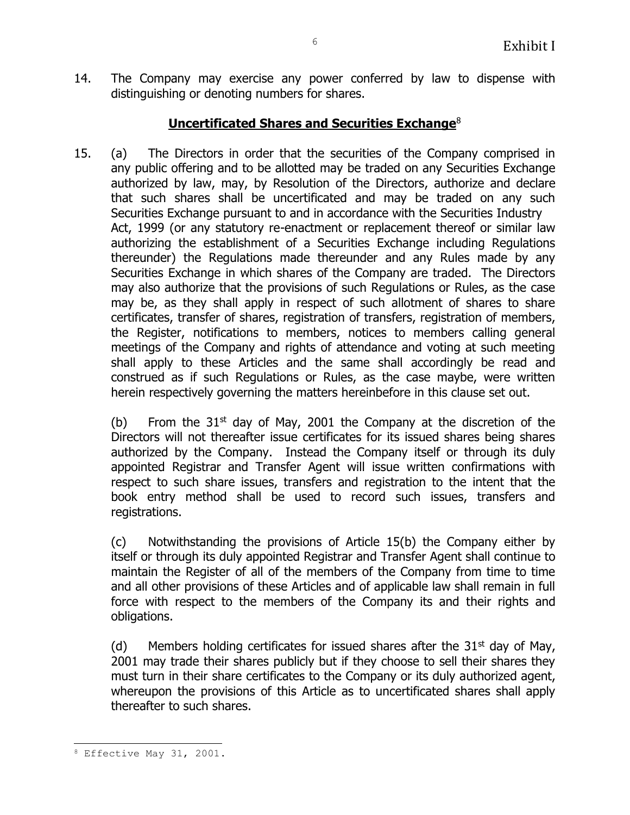14. The Company may exercise any power conferred by law to dispense with distinguishing or denoting numbers for shares.

# **Uncertificated Shares and Securities Exchange**<sup>8</sup>

15. (a) The Directors in order that the securities of the Company comprised in any public offering and to be allotted may be traded on any Securities Exchange authorized by law, may, by Resolution of the Directors, authorize and declare that such shares shall be uncertificated and may be traded on any such Securities Exchange pursuant to and in accordance with the Securities Industry Act, 1999 (or any statutory re-enactment or replacement thereof or similar law authorizing the establishment of a Securities Exchange including Regulations thereunder) the Regulations made thereunder and any Rules made by any Securities Exchange in which shares of the Company are traded. The Directors may also authorize that the provisions of such Regulations or Rules, as the case may be, as they shall apply in respect of such allotment of shares to share certificates, transfer of shares, registration of transfers, registration of members, the Register, notifications to members, notices to members calling general meetings of the Company and rights of attendance and voting at such meeting shall apply to these Articles and the same shall accordingly be read and construed as if such Regulations or Rules, as the case maybe, were written herein respectively governing the matters hereinbefore in this clause set out.

(b) From the  $31<sup>st</sup>$  day of May, 2001 the Company at the discretion of the Directors will not thereafter issue certificates for its issued shares being shares authorized by the Company. Instead the Company itself or through its duly appointed Registrar and Transfer Agent will issue written confirmations with respect to such share issues, transfers and registration to the intent that the book entry method shall be used to record such issues, transfers and registrations.

(c) Notwithstanding the provisions of Article 15(b) the Company either by itself or through its duly appointed Registrar and Transfer Agent shall continue to maintain the Register of all of the members of the Company from time to time and all other provisions of these Articles and of applicable law shall remain in full force with respect to the members of the Company its and their rights and obligations.

(d) Members holding certificates for issued shares after the  $31<sup>st</sup>$  day of May, 2001 may trade their shares publicly but if they choose to sell their shares they must turn in their share certificates to the Company or its duly authorized agent, whereupon the provisions of this Article as to uncertificated shares shall apply thereafter to such shares.

ı.

<sup>8</sup> Effective May 31, 2001.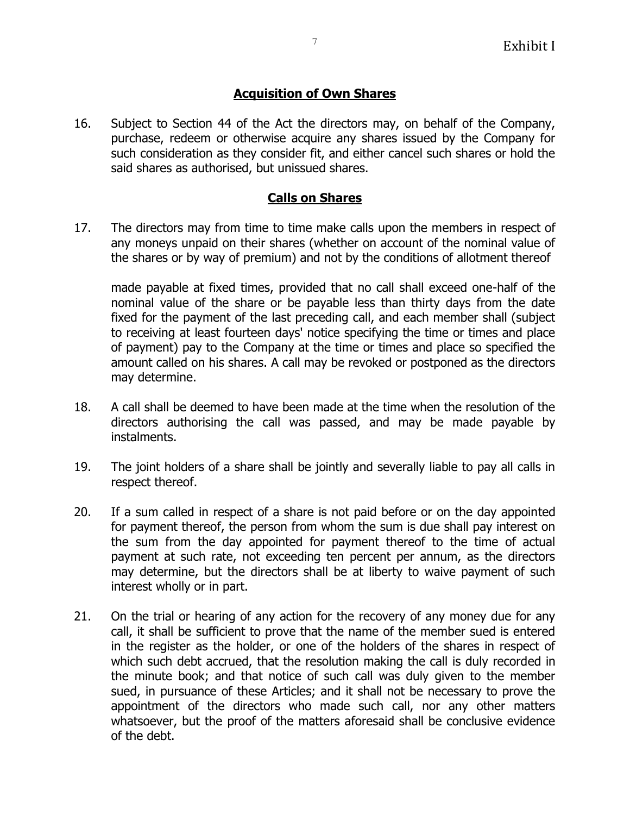## **Acquisition of Own Shares**

16. Subject to Section 44 of the Act the directors may, on behalf of the Company, purchase, redeem or otherwise acquire any shares issued by the Company for such consideration as they consider fit, and either cancel such shares or hold the said shares as authorised, but unissued shares.

## **Calls on Shares**

17. The directors may from time to time make calls upon the members in respect of any moneys unpaid on their shares (whether on account of the nominal value of the shares or by way of premium) and not by the conditions of allotment thereof

made payable at fixed times, provided that no call shall exceed one-half of the nominal value of the share or be payable less than thirty days from the date fixed for the payment of the last preceding call, and each member shall (subject to receiving at least fourteen days' notice specifying the time or times and place of payment) pay to the Company at the time or times and place so specified the amount called on his shares. A call may be revoked or postponed as the directors may determine.

- 18. A call shall be deemed to have been made at the time when the resolution of the directors authorising the call was passed, and may be made payable by instalments.
- 19. The joint holders of a share shall be jointly and severally liable to pay all calls in respect thereof.
- 20. If a sum called in respect of a share is not paid before or on the day appointed for payment thereof, the person from whom the sum is due shall pay interest on the sum from the day appointed for payment thereof to the time of actual payment at such rate, not exceeding ten percent per annum, as the directors may determine, but the directors shall be at liberty to waive payment of such interest wholly or in part.
- 21. On the trial or hearing of any action for the recovery of any money due for any call, it shall be sufficient to prove that the name of the member sued is entered in the register as the holder, or one of the holders of the shares in respect of which such debt accrued, that the resolution making the call is duly recorded in the minute book; and that notice of such call was duly given to the member sued, in pursuance of these Articles; and it shall not be necessary to prove the appointment of the directors who made such call, nor any other matters whatsoever, but the proof of the matters aforesaid shall be conclusive evidence of the debt.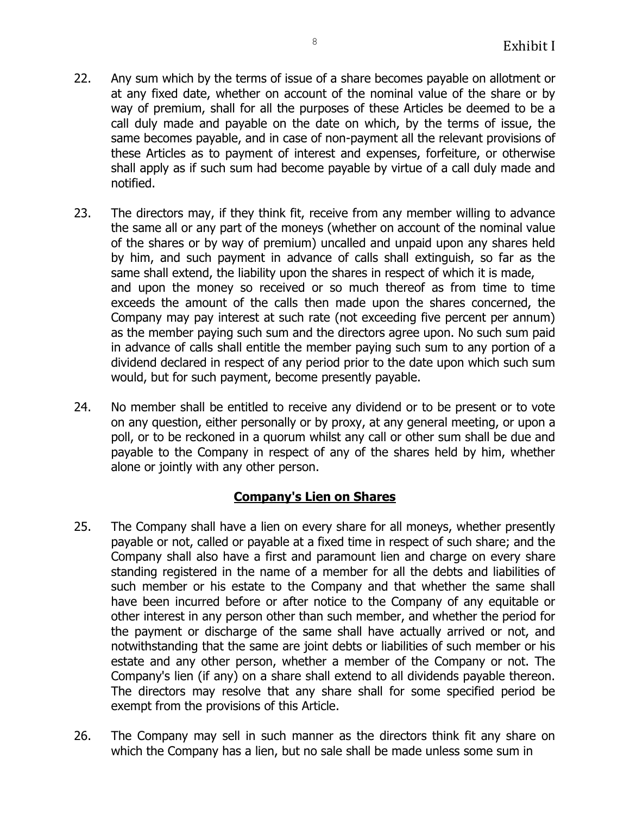- 22. Any sum which by the terms of issue of a share becomes payable on allotment or at any fixed date, whether on account of the nominal value of the share or by way of premium, shall for all the purposes of these Articles be deemed to be a call duly made and payable on the date on which, by the terms of issue, the same becomes payable, and in case of non-payment all the relevant provisions of these Articles as to payment of interest and expenses, forfeiture, or otherwise shall apply as if such sum had become payable by virtue of a call duly made and notified.
- 23. The directors may, if they think fit, receive from any member willing to advance the same all or any part of the moneys (whether on account of the nominal value of the shares or by way of premium) uncalled and unpaid upon any shares held by him, and such payment in advance of calls shall extinguish, so far as the same shall extend, the liability upon the shares in respect of which it is made, and upon the money so received or so much thereof as from time to time exceeds the amount of the calls then made upon the shares concerned, the Company may pay interest at such rate (not exceeding five percent per annum) as the member paying such sum and the directors agree upon. No such sum paid in advance of calls shall entitle the member paying such sum to any portion of a dividend declared in respect of any period prior to the date upon which such sum would, but for such payment, become presently payable.
- 24. No member shall be entitled to receive any dividend or to be present or to vote on any question, either personally or by proxy, at any general meeting, or upon a poll, or to be reckoned in a quorum whilst any call or other sum shall be due and payable to the Company in respect of any of the shares held by him, whether alone or jointly with any other person.

# **Company's Lien on Shares**

- 25. The Company shall have a lien on every share for all moneys, whether presently payable or not, called or payable at a fixed time in respect of such share; and the Company shall also have a first and paramount lien and charge on every share standing registered in the name of a member for all the debts and liabilities of such member or his estate to the Company and that whether the same shall have been incurred before or after notice to the Company of any equitable or other interest in any person other than such member, and whether the period for the payment or discharge of the same shall have actually arrived or not, and notwithstanding that the same are joint debts or liabilities of such member or his estate and any other person, whether a member of the Company or not. The Company's lien (if any) on a share shall extend to all dividends payable thereon. The directors may resolve that any share shall for some specified period be exempt from the provisions of this Article.
- 26. The Company may sell in such manner as the directors think fit any share on which the Company has a lien, but no sale shall be made unless some sum in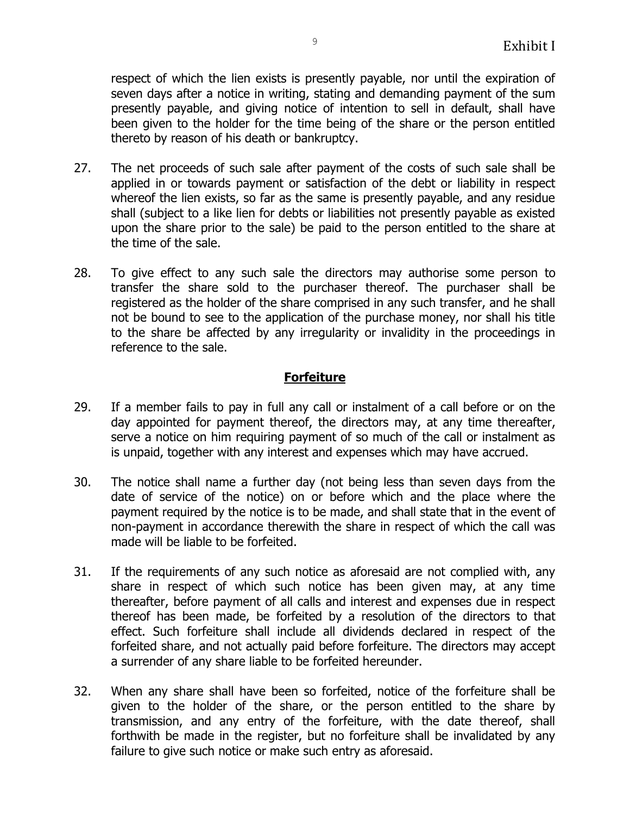respect of which the lien exists is presently payable, nor until the expiration of seven days after a notice in writing, stating and demanding payment of the sum presently payable, and giving notice of intention to sell in default, shall have been given to the holder for the time being of the share or the person entitled thereto by reason of his death or bankruptcy.

- 27. The net proceeds of such sale after payment of the costs of such sale shall be applied in or towards payment or satisfaction of the debt or liability in respect whereof the lien exists, so far as the same is presently payable, and any residue shall (subject to a like lien for debts or liabilities not presently payable as existed upon the share prior to the sale) be paid to the person entitled to the share at the time of the sale.
- 28. To give effect to any such sale the directors may authorise some person to transfer the share sold to the purchaser thereof. The purchaser shall be registered as the holder of the share comprised in any such transfer, and he shall not be bound to see to the application of the purchase money, nor shall his title to the share be affected by any irregularity or invalidity in the proceedings in reference to the sale.

# **Forfeiture**

- 29. If a member fails to pay in full any call or instalment of a call before or on the day appointed for payment thereof, the directors may, at any time thereafter, serve a notice on him requiring payment of so much of the call or instalment as is unpaid, together with any interest and expenses which may have accrued.
- 30. The notice shall name a further day (not being less than seven days from the date of service of the notice) on or before which and the place where the payment required by the notice is to be made, and shall state that in the event of non-payment in accordance therewith the share in respect of which the call was made will be liable to be forfeited.
- 31. If the requirements of any such notice as aforesaid are not complied with, any share in respect of which such notice has been given may, at any time thereafter, before payment of all calls and interest and expenses due in respect thereof has been made, be forfeited by a resolution of the directors to that effect. Such forfeiture shall include all dividends declared in respect of the forfeited share, and not actually paid before forfeiture. The directors may accept a surrender of any share liable to be forfeited hereunder.
- 32. When any share shall have been so forfeited, notice of the forfeiture shall be given to the holder of the share, or the person entitled to the share by transmission, and any entry of the forfeiture, with the date thereof, shall forthwith be made in the register, but no forfeiture shall be invalidated by any failure to give such notice or make such entry as aforesaid.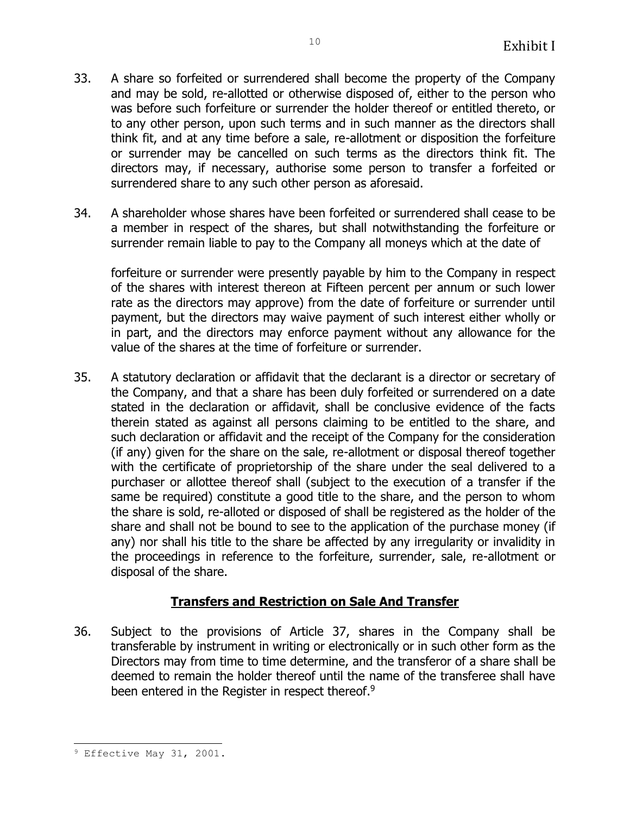- 33. A share so forfeited or surrendered shall become the property of the Company and may be sold, re-allotted or otherwise disposed of, either to the person who was before such forfeiture or surrender the holder thereof or entitled thereto, or to any other person, upon such terms and in such manner as the directors shall think fit, and at any time before a sale, re-allotment or disposition the forfeiture or surrender may be cancelled on such terms as the directors think fit. The directors may, if necessary, authorise some person to transfer a forfeited or surrendered share to any such other person as aforesaid.
- 34. A shareholder whose shares have been forfeited or surrendered shall cease to be a member in respect of the shares, but shall notwithstanding the forfeiture or surrender remain liable to pay to the Company all moneys which at the date of

forfeiture or surrender were presently payable by him to the Company in respect of the shares with interest thereon at Fifteen percent per annum or such lower rate as the directors may approve) from the date of forfeiture or surrender until payment, but the directors may waive payment of such interest either wholly or in part, and the directors may enforce payment without any allowance for the value of the shares at the time of forfeiture or surrender.

35. A statutory declaration or affidavit that the declarant is a director or secretary of the Company, and that a share has been duly forfeited or surrendered on a date stated in the declaration or affidavit, shall be conclusive evidence of the facts therein stated as against all persons claiming to be entitled to the share, and such declaration or affidavit and the receipt of the Company for the consideration (if any) given for the share on the sale, re-allotment or disposal thereof together with the certificate of proprietorship of the share under the seal delivered to a purchaser or allottee thereof shall (subject to the execution of a transfer if the same be required) constitute a good title to the share, and the person to whom the share is sold, re-alloted or disposed of shall be registered as the holder of the share and shall not be bound to see to the application of the purchase money (if any) nor shall his title to the share be affected by any irregularity or invalidity in the proceedings in reference to the forfeiture, surrender, sale, re-allotment or disposal of the share.

# **Transfers and Restriction on Sale And Transfer**

36. Subject to the provisions of Article 37, shares in the Company shall be transferable by instrument in writing or electronically or in such other form as the Directors may from time to time determine, and the transferor of a share shall be deemed to remain the holder thereof until the name of the transferee shall have been entered in the Register in respect thereof.<sup>9</sup>

ı. <sup>9</sup> Effective May 31, 2001.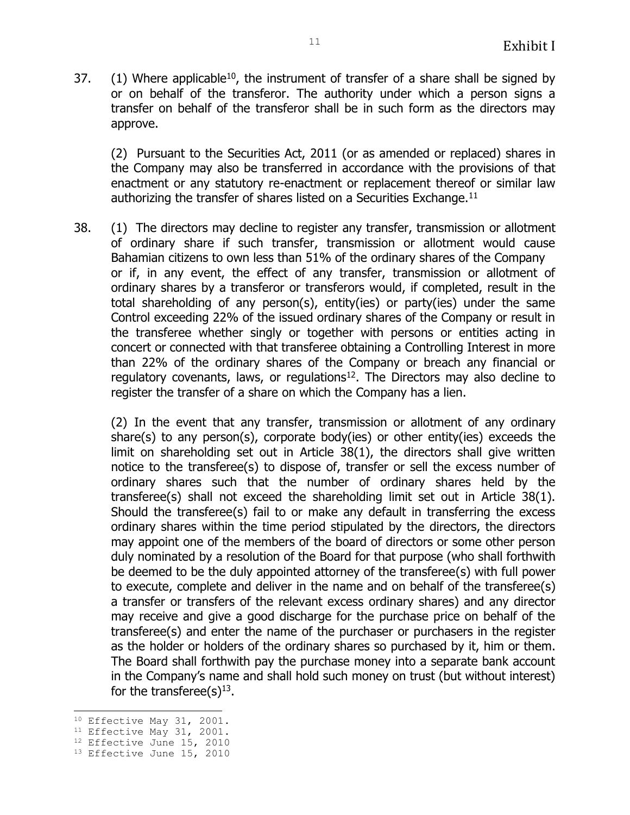37. (1) Where applicable<sup>10</sup>, the instrument of transfer of a share shall be signed by or on behalf of the transferor. The authority under which a person signs a transfer on behalf of the transferor shall be in such form as the directors may approve.

(2) Pursuant to the Securities Act, 2011 (or as amended or replaced) shares in the Company may also be transferred in accordance with the provisions of that enactment or any statutory re-enactment or replacement thereof or similar law authorizing the transfer of shares listed on a Securities Exchange. $11$ 

38. (1) The directors may decline to register any transfer, transmission or allotment of ordinary share if such transfer, transmission or allotment would cause Bahamian citizens to own less than 51% of the ordinary shares of the Company or if, in any event, the effect of any transfer, transmission or allotment of ordinary shares by a transferor or transferors would, if completed, result in the total shareholding of any person(s), entity(ies) or party(ies) under the same Control exceeding 22% of the issued ordinary shares of the Company or result in the transferee whether singly or together with persons or entities acting in concert or connected with that transferee obtaining a Controlling Interest in more than 22% of the ordinary shares of the Company or breach any financial or regulatory covenants, laws, or regulations<sup>12</sup>. The Directors may also decline to register the transfer of a share on which the Company has a lien.

(2) In the event that any transfer, transmission or allotment of any ordinary share(s) to any person(s), corporate body(ies) or other entity(ies) exceeds the limit on shareholding set out in Article 38(1), the directors shall give written notice to the transferee(s) to dispose of, transfer or sell the excess number of ordinary shares such that the number of ordinary shares held by the transferee(s) shall not exceed the shareholding limit set out in Article 38(1). Should the transferee(s) fail to or make any default in transferring the excess ordinary shares within the time period stipulated by the directors, the directors may appoint one of the members of the board of directors or some other person duly nominated by a resolution of the Board for that purpose (who shall forthwith be deemed to be the duly appointed attorney of the transferee(s) with full power to execute, complete and deliver in the name and on behalf of the transferee(s) a transfer or transfers of the relevant excess ordinary shares) and any director may receive and give a good discharge for the purchase price on behalf of the transferee(s) and enter the name of the purchaser or purchasers in the register as the holder or holders of the ordinary shares so purchased by it, him or them. The Board shall forthwith pay the purchase money into a separate bank account in the Company's name and shall hold such money on trust (but without interest) for the transferee(s) $^{13}$ .

<sup>÷,</sup> <sup>10</sup> Effective May 31, 2001.

<sup>&</sup>lt;sup>11</sup> Effective May 31, 2001.

<sup>&</sup>lt;sup>12</sup> Effective June 15, 2010

<sup>&</sup>lt;sup>13</sup> Effective June 15, 2010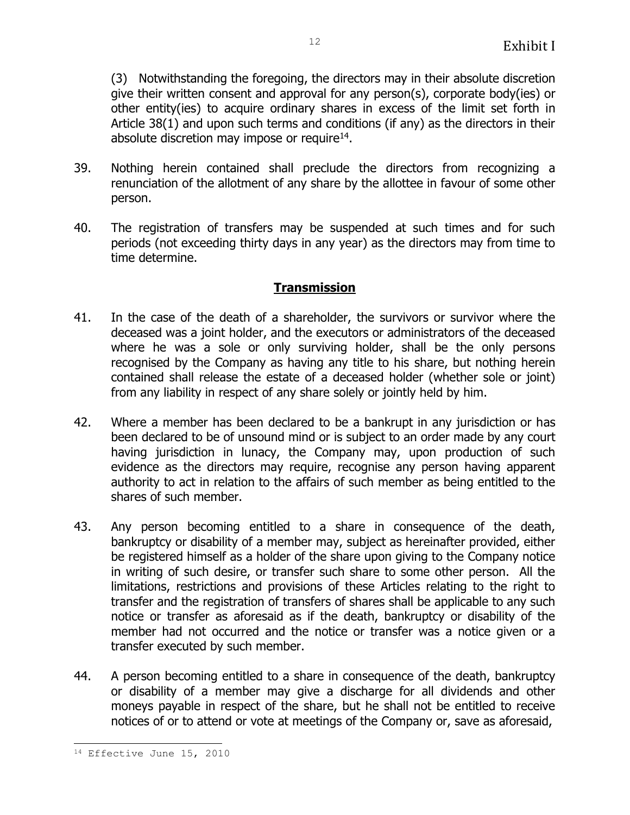(3) Notwithstanding the foregoing, the directors may in their absolute discretion give their written consent and approval for any person(s), corporate body(ies) or other entity(ies) to acquire ordinary shares in excess of the limit set forth in Article 38(1) and upon such terms and conditions (if any) as the directors in their absolute discretion may impose or require $^{14}$ .

- 39. Nothing herein contained shall preclude the directors from recognizing a renunciation of the allotment of any share by the allottee in favour of some other person.
- 40. The registration of transfers may be suspended at such times and for such periods (not exceeding thirty days in any year) as the directors may from time to time determine.

## **Transmission**

- 41. In the case of the death of a shareholder, the survivors or survivor where the deceased was a joint holder, and the executors or administrators of the deceased where he was a sole or only surviving holder, shall be the only persons recognised by the Company as having any title to his share, but nothing herein contained shall release the estate of a deceased holder (whether sole or joint) from any liability in respect of any share solely or jointly held by him.
- 42. Where a member has been declared to be a bankrupt in any jurisdiction or has been declared to be of unsound mind or is subject to an order made by any court having jurisdiction in lunacy, the Company may, upon production of such evidence as the directors may require, recognise any person having apparent authority to act in relation to the affairs of such member as being entitled to the shares of such member.
- 43. Any person becoming entitled to a share in consequence of the death, bankruptcy or disability of a member may, subject as hereinafter provided, either be registered himself as a holder of the share upon giving to the Company notice in writing of such desire, or transfer such share to some other person. All the limitations, restrictions and provisions of these Articles relating to the right to transfer and the registration of transfers of shares shall be applicable to any such notice or transfer as aforesaid as if the death, bankruptcy or disability of the member had not occurred and the notice or transfer was a notice given or a transfer executed by such member.
- 44. A person becoming entitled to a share in consequence of the death, bankruptcy or disability of a member may give a discharge for all dividends and other moneys payable in respect of the share, but he shall not be entitled to receive notices of or to attend or vote at meetings of the Company or, save as aforesaid,

12

ı. <sup>14</sup> Effective June 15, 2010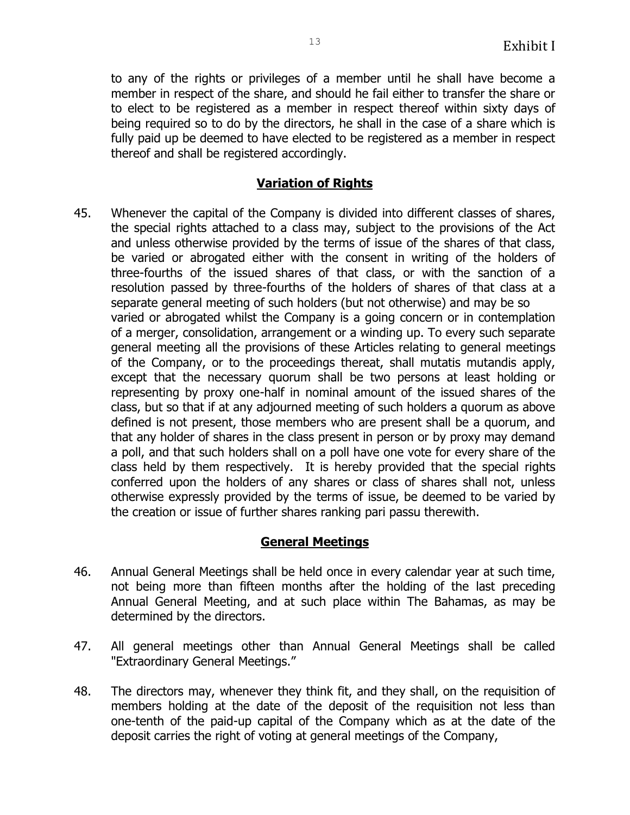to any of the rights or privileges of a member until he shall have become a member in respect of the share, and should he fail either to transfer the share or to elect to be registered as a member in respect thereof within sixty days of being required so to do by the directors, he shall in the case of a share which is fully paid up be deemed to have elected to be registered as a member in respect thereof and shall be registered accordingly.

## **Variation of Rights**

45. Whenever the capital of the Company is divided into different classes of shares, the special rights attached to a class may, subject to the provisions of the Act and unless otherwise provided by the terms of issue of the shares of that class, be varied or abrogated either with the consent in writing of the holders of three-fourths of the issued shares of that class, or with the sanction of a resolution passed by three-fourths of the holders of shares of that class at a separate general meeting of such holders (but not otherwise) and may be so varied or abrogated whilst the Company is a going concern or in contemplation of a merger, consolidation, arrangement or a winding up. To every such separate general meeting all the provisions of these Articles relating to general meetings of the Company, or to the proceedings thereat, shall mutatis mutandis apply, except that the necessary quorum shall be two persons at least holding or representing by proxy one-half in nominal amount of the issued shares of the class, but so that if at any adjourned meeting of such holders a quorum as above defined is not present, those members who are present shall be a quorum, and that any holder of shares in the class present in person or by proxy may demand a poll, and that such holders shall on a poll have one vote for every share of the class held by them respectively. It is hereby provided that the special rights conferred upon the holders of any shares or class of shares shall not, unless otherwise expressly provided by the terms of issue, be deemed to be varied by the creation or issue of further shares ranking pari passu therewith.

## **General Meetings**

- 46. Annual General Meetings shall be held once in every calendar year at such time, not being more than fifteen months after the holding of the last preceding Annual General Meeting, and at such place within The Bahamas, as may be determined by the directors.
- 47. All general meetings other than Annual General Meetings shall be called "Extraordinary General Meetings."
- 48. The directors may, whenever they think fit, and they shall, on the requisition of members holding at the date of the deposit of the requisition not less than one-tenth of the paid-up capital of the Company which as at the date of the deposit carries the right of voting at general meetings of the Company,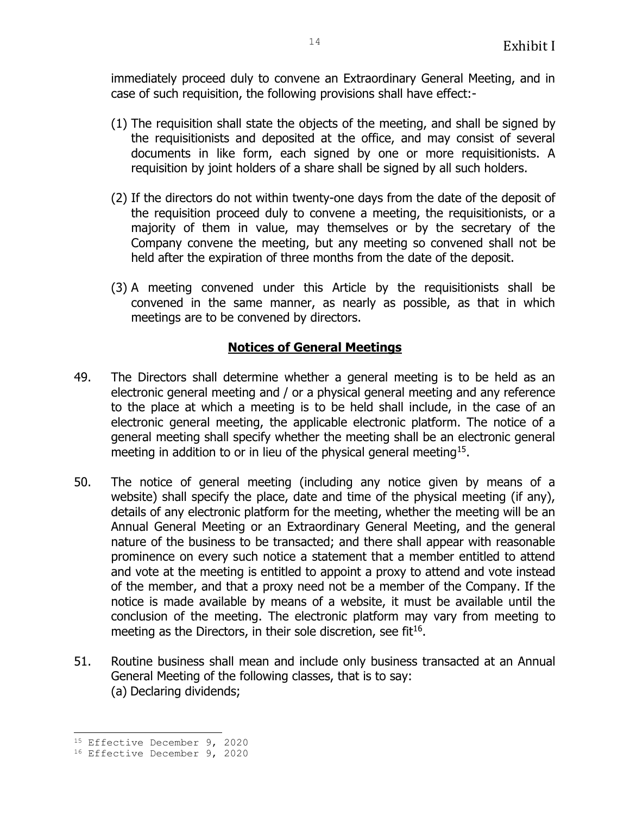immediately proceed duly to convene an Extraordinary General Meeting, and in case of such requisition, the following provisions shall have effect:-

- (1) The requisition shall state the objects of the meeting, and shall be signed by the requisitionists and deposited at the office, and may consist of several documents in like form, each signed by one or more requisitionists. A requisition by joint holders of a share shall be signed by all such holders.
- (2) If the directors do not within twenty-one days from the date of the deposit of the requisition proceed duly to convene a meeting, the requisitionists, or a majority of them in value, may themselves or by the secretary of the Company convene the meeting, but any meeting so convened shall not be held after the expiration of three months from the date of the deposit.
- (3) A meeting convened under this Article by the requisitionists shall be convened in the same manner, as nearly as possible, as that in which meetings are to be convened by directors.

# **Notices of General Meetings**

- 49. The Directors shall determine whether a general meeting is to be held as an electronic general meeting and / or a physical general meeting and any reference to the place at which a meeting is to be held shall include, in the case of an electronic general meeting, the applicable electronic platform. The notice of a general meeting shall specify whether the meeting shall be an electronic general meeting in addition to or in lieu of the physical general meeting<sup>15</sup>.
- 50. The notice of general meeting (including any notice given by means of a website) shall specify the place, date and time of the physical meeting (if any), details of any electronic platform for the meeting, whether the meeting will be an Annual General Meeting or an Extraordinary General Meeting, and the general nature of the business to be transacted; and there shall appear with reasonable prominence on every such notice a statement that a member entitled to attend and vote at the meeting is entitled to appoint a proxy to attend and vote instead of the member, and that a proxy need not be a member of the Company. If the notice is made available by means of a website, it must be available until the conclusion of the meeting. The electronic platform may vary from meeting to meeting as the Directors, in their sole discretion, see fit<sup>16</sup>.
- 51. Routine business shall mean and include only business transacted at an Annual General Meeting of the following classes, that is to say: (a) Declaring dividends;

j.

<sup>&</sup>lt;sup>15</sup> Effective December 9, 2020

<sup>16</sup> Effective December 9, 2020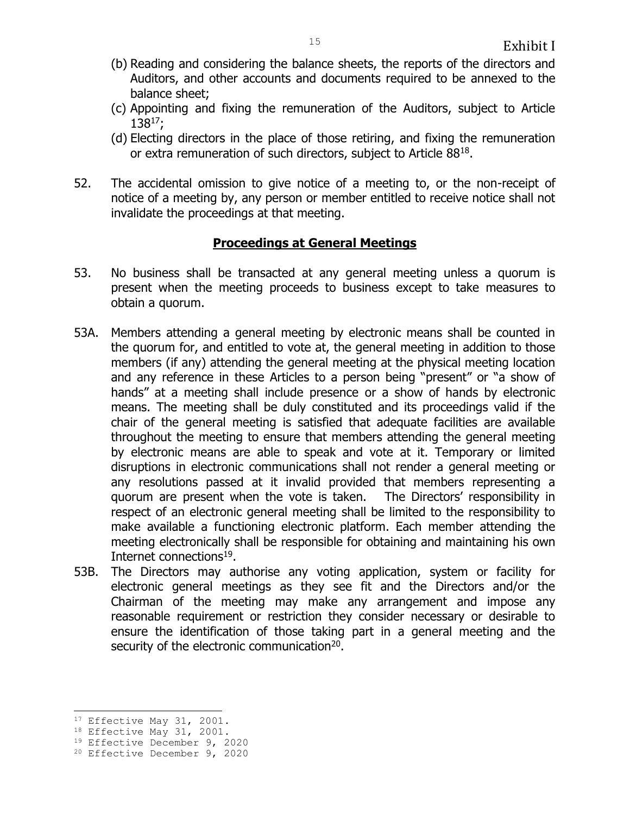- (b) Reading and considering the balance sheets, the reports of the directors and Auditors, and other accounts and documents required to be annexed to the balance sheet;
- (c) Appointing and fixing the remuneration of the Auditors, subject to Article  $138^{17}$ ;
- (d) Electing directors in the place of those retiring, and fixing the remuneration or extra remuneration of such directors, subject to Article 88<sup>18</sup>.
- 52. The accidental omission to give notice of a meeting to, or the non-receipt of notice of a meeting by, any person or member entitled to receive notice shall not invalidate the proceedings at that meeting.

## **Proceedings at General Meetings**

- 53. No business shall be transacted at any general meeting unless a quorum is present when the meeting proceeds to business except to take measures to obtain a quorum.
- 53A. Members attending a general meeting by electronic means shall be counted in the quorum for, and entitled to vote at, the general meeting in addition to those members (if any) attending the general meeting at the physical meeting location and any reference in these Articles to a person being "present" or "a show of hands" at a meeting shall include presence or a show of hands by electronic means. The meeting shall be duly constituted and its proceedings valid if the chair of the general meeting is satisfied that adequate facilities are available throughout the meeting to ensure that members attending the general meeting by electronic means are able to speak and vote at it. Temporary or limited disruptions in electronic communications shall not render a general meeting or any resolutions passed at it invalid provided that members representing a quorum are present when the vote is taken. The Directors' responsibility in respect of an electronic general meeting shall be limited to the responsibility to make available a functioning electronic platform. Each member attending the meeting electronically shall be responsible for obtaining and maintaining his own Internet connections<sup>19</sup>.
- 53B. The Directors may authorise any voting application, system or facility for electronic general meetings as they see fit and the Directors and/or the Chairman of the meeting may make any arrangement and impose any reasonable requirement or restriction they consider necessary or desirable to ensure the identification of those taking part in a general meeting and the security of the electronic communication<sup>20</sup>.

÷,

<sup>&</sup>lt;sup>17</sup> Effective May 31, 2001.

<sup>&</sup>lt;sup>18</sup> Effective May 31, 2001.

<sup>19</sup> Effective December 9, 2020

<sup>20</sup> Effective December 9, 2020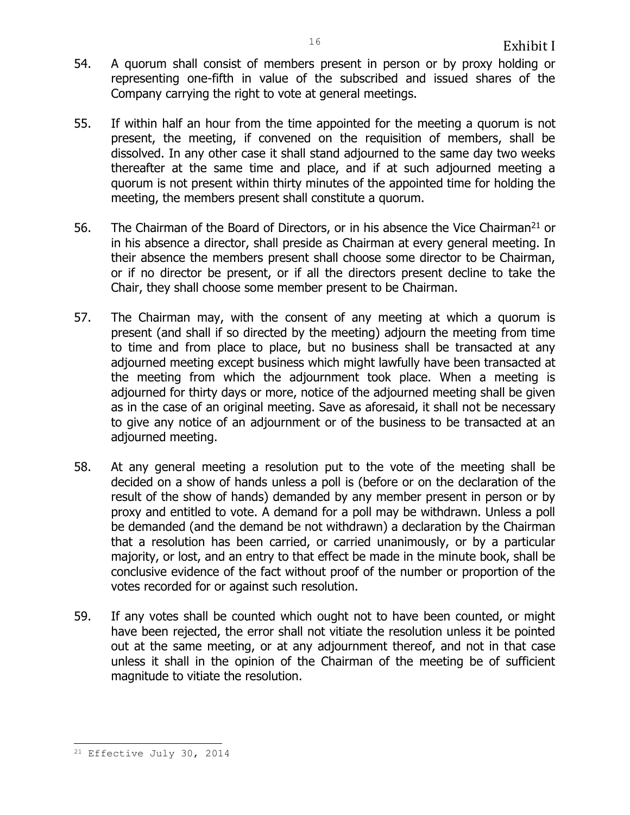- 54. A quorum shall consist of members present in person or by proxy holding or representing one-fifth in value of the subscribed and issued shares of the Company carrying the right to vote at general meetings.
- 55. If within half an hour from the time appointed for the meeting a quorum is not present, the meeting, if convened on the requisition of members, shall be dissolved. In any other case it shall stand adjourned to the same day two weeks thereafter at the same time and place, and if at such adjourned meeting a quorum is not present within thirty minutes of the appointed time for holding the meeting, the members present shall constitute a quorum.
- 56. The Chairman of the Board of Directors, or in his absence the Vice Chairman<sup>21</sup> or in his absence a director, shall preside as Chairman at every general meeting. In their absence the members present shall choose some director to be Chairman, or if no director be present, or if all the directors present decline to take the Chair, they shall choose some member present to be Chairman.
- 57. The Chairman may, with the consent of any meeting at which a quorum is present (and shall if so directed by the meeting) adjourn the meeting from time to time and from place to place, but no business shall be transacted at any adjourned meeting except business which might lawfully have been transacted at the meeting from which the adjournment took place. When a meeting is adjourned for thirty days or more, notice of the adjourned meeting shall be given as in the case of an original meeting. Save as aforesaid, it shall not be necessary to give any notice of an adjournment or of the business to be transacted at an adjourned meeting.
- 58. At any general meeting a resolution put to the vote of the meeting shall be decided on a show of hands unless a poll is (before or on the declaration of the result of the show of hands) demanded by any member present in person or by proxy and entitled to vote. A demand for a poll may be withdrawn. Unless a poll be demanded (and the demand be not withdrawn) a declaration by the Chairman that a resolution has been carried, or carried unanimously, or by a particular majority, or lost, and an entry to that effect be made in the minute book, shall be conclusive evidence of the fact without proof of the number or proportion of the votes recorded for or against such resolution.
- 59. If any votes shall be counted which ought not to have been counted, or might have been rejected, the error shall not vitiate the resolution unless it be pointed out at the same meeting, or at any adjournment thereof, and not in that case unless it shall in the opinion of the Chairman of the meeting be of sufficient magnitude to vitiate the resolution.

ı.  $21$  Effective July 30, 2014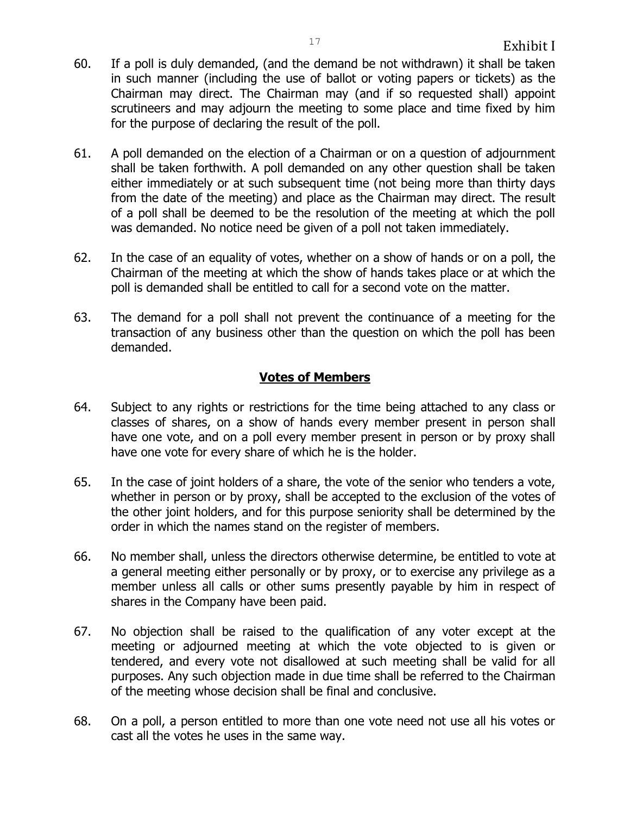- 60. If a poll is duly demanded, (and the demand be not withdrawn) it shall be taken in such manner (including the use of ballot or voting papers or tickets) as the Chairman may direct. The Chairman may (and if so requested shall) appoint scrutineers and may adjourn the meeting to some place and time fixed by him for the purpose of declaring the result of the poll.
- 61. A poll demanded on the election of a Chairman or on a question of adjournment shall be taken forthwith. A poll demanded on any other question shall be taken either immediately or at such subsequent time (not being more than thirty days from the date of the meeting) and place as the Chairman may direct. The result of a poll shall be deemed to be the resolution of the meeting at which the poll was demanded. No notice need be given of a poll not taken immediately.
- 62. In the case of an equality of votes, whether on a show of hands or on a poll, the Chairman of the meeting at which the show of hands takes place or at which the poll is demanded shall be entitled to call for a second vote on the matter.
- 63. The demand for a poll shall not prevent the continuance of a meeting for the transaction of any business other than the question on which the poll has been demanded.

# **Votes of Members**

- 64. Subject to any rights or restrictions for the time being attached to any class or classes of shares, on a show of hands every member present in person shall have one vote, and on a poll every member present in person or by proxy shall have one vote for every share of which he is the holder.
- 65. In the case of joint holders of a share, the vote of the senior who tenders a vote, whether in person or by proxy, shall be accepted to the exclusion of the votes of the other joint holders, and for this purpose seniority shall be determined by the order in which the names stand on the register of members.
- 66. No member shall, unless the directors otherwise determine, be entitled to vote at a general meeting either personally or by proxy, or to exercise any privilege as a member unless all calls or other sums presently payable by him in respect of shares in the Company have been paid.
- 67. No objection shall be raised to the qualification of any voter except at the meeting or adjourned meeting at which the vote objected to is given or tendered, and every vote not disallowed at such meeting shall be valid for all purposes. Any such objection made in due time shall be referred to the Chairman of the meeting whose decision shall be final and conclusive.
- 68. On a poll, a person entitled to more than one vote need not use all his votes or cast all the votes he uses in the same way.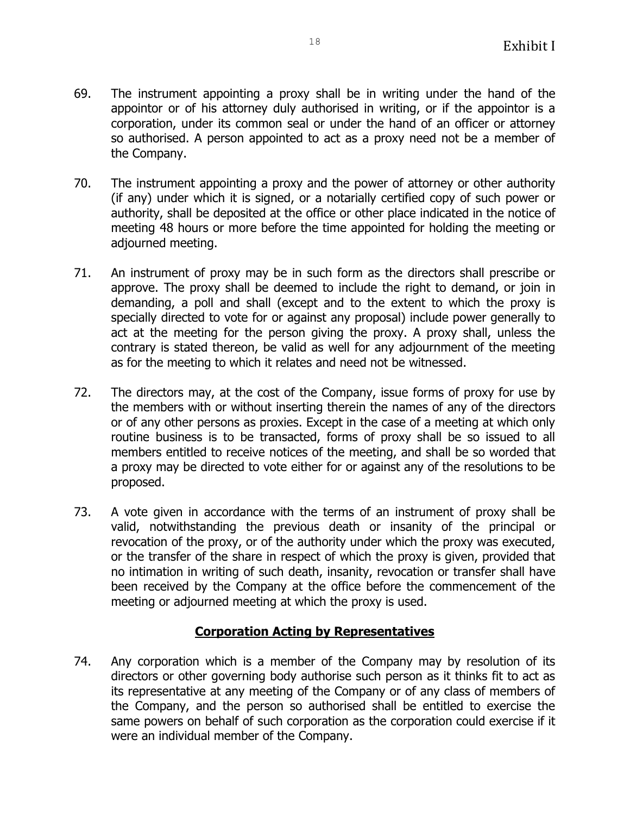- 69. The instrument appointing a proxy shall be in writing under the hand of the appointor or of his attorney duly authorised in writing, or if the appointor is a corporation, under its common seal or under the hand of an officer or attorney so authorised. A person appointed to act as a proxy need not be a member of the Company.
- 70. The instrument appointing a proxy and the power of attorney or other authority (if any) under which it is signed, or a notarially certified copy of such power or authority, shall be deposited at the office or other place indicated in the notice of meeting 48 hours or more before the time appointed for holding the meeting or adjourned meeting.
- 71. An instrument of proxy may be in such form as the directors shall prescribe or approve. The proxy shall be deemed to include the right to demand, or join in demanding, a poll and shall (except and to the extent to which the proxy is specially directed to vote for or against any proposal) include power generally to act at the meeting for the person giving the proxy. A proxy shall, unless the contrary is stated thereon, be valid as well for any adjournment of the meeting as for the meeting to which it relates and need not be witnessed.
- 72. The directors may, at the cost of the Company, issue forms of proxy for use by the members with or without inserting therein the names of any of the directors or of any other persons as proxies. Except in the case of a meeting at which only routine business is to be transacted, forms of proxy shall be so issued to all members entitled to receive notices of the meeting, and shall be so worded that a proxy may be directed to vote either for or against any of the resolutions to be proposed.
- 73. A vote given in accordance with the terms of an instrument of proxy shall be valid, notwithstanding the previous death or insanity of the principal or revocation of the proxy, or of the authority under which the proxy was executed, or the transfer of the share in respect of which the proxy is given, provided that no intimation in writing of such death, insanity, revocation or transfer shall have been received by the Company at the office before the commencement of the meeting or adjourned meeting at which the proxy is used.

## **Corporation Acting by Representatives**

74. Any corporation which is a member of the Company may by resolution of its directors or other governing body authorise such person as it thinks fit to act as its representative at any meeting of the Company or of any class of members of the Company, and the person so authorised shall be entitled to exercise the same powers on behalf of such corporation as the corporation could exercise if it were an individual member of the Company.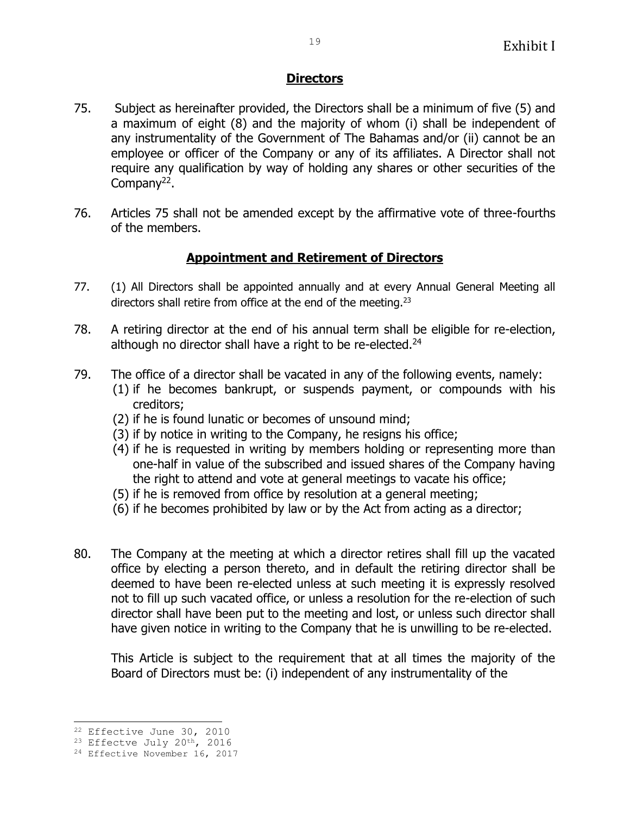## **Directors**

- 75. Subject as hereinafter provided, the Directors shall be a minimum of five (5) and a maximum of eight (8) and the majority of whom (i) shall be independent of any instrumentality of the Government of The Bahamas and/or (ii) cannot be an employee or officer of the Company or any of its affiliates. A Director shall not require any qualification by way of holding any shares or other securities of the Company<sup>22</sup>.
- 76. Articles 75 shall not be amended except by the affirmative vote of three-fourths of the members.

# **Appointment and Retirement of Directors**

- 77. (1) All Directors shall be appointed annually and at every Annual General Meeting all directors shall retire from office at the end of the meeting.<sup>23</sup>
- 78. A retiring director at the end of his annual term shall be eligible for re-election, although no director shall have a right to be re-elected.<sup>24</sup>
- 79. The office of a director shall be vacated in any of the following events, namely: (1) if he becomes bankrupt, or suspends payment, or compounds with his creditors;
	- (2) if he is found lunatic or becomes of unsound mind;
	- (3) if by notice in writing to the Company, he resigns his office;
	- (4) if he is requested in writing by members holding or representing more than one-half in value of the subscribed and issued shares of the Company having the right to attend and vote at general meetings to vacate his office;
	- (5) if he is removed from office by resolution at a general meeting;
	- (6) if he becomes prohibited by law or by the Act from acting as a director;
- 80. The Company at the meeting at which a director retires shall fill up the vacated office by electing a person thereto, and in default the retiring director shall be deemed to have been re-elected unless at such meeting it is expressly resolved not to fill up such vacated office, or unless a resolution for the re-election of such director shall have been put to the meeting and lost, or unless such director shall have given notice in writing to the Company that he is unwilling to be re-elected.

This Article is subject to the requirement that at all times the majority of the Board of Directors must be: (i) independent of any instrumentality of the

÷,

<sup>22</sup> Effective June 30, 2010

<sup>&</sup>lt;sup>23</sup> Effectve July 20<sup>th</sup>, 2016

<sup>24</sup> Effective November 16, 2017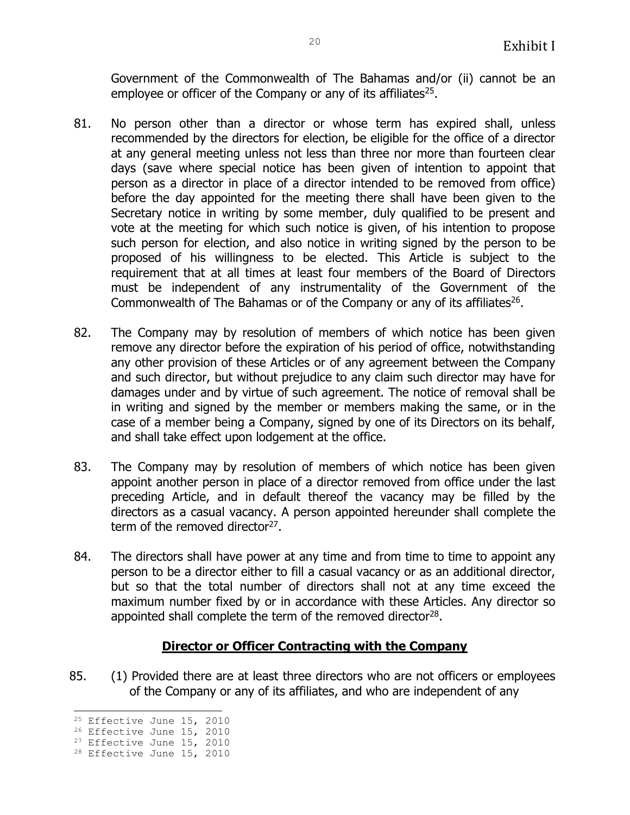Government of the Commonwealth of The Bahamas and/or (ii) cannot be an employee or officer of the Company or any of its affiliates<sup>25</sup>.

- 81. No person other than a director or whose term has expired shall, unless recommended by the directors for election, be eligible for the office of a director at any general meeting unless not less than three nor more than fourteen clear days (save where special notice has been given of intention to appoint that person as a director in place of a director intended to be removed from office) before the day appointed for the meeting there shall have been given to the Secretary notice in writing by some member, duly qualified to be present and vote at the meeting for which such notice is given, of his intention to propose such person for election, and also notice in writing signed by the person to be proposed of his willingness to be elected. This Article is subject to the requirement that at all times at least four members of the Board of Directors must be independent of any instrumentality of the Government of the Commonwealth of The Bahamas or of the Company or any of its affiliates $26$ .
- 82. The Company may by resolution of members of which notice has been given remove any director before the expiration of his period of office, notwithstanding any other provision of these Articles or of any agreement between the Company and such director, but without prejudice to any claim such director may have for damages under and by virtue of such agreement. The notice of removal shall be in writing and signed by the member or members making the same, or in the case of a member being a Company, signed by one of its Directors on its behalf, and shall take effect upon lodgement at the office.
- 83. The Company may by resolution of members of which notice has been given appoint another person in place of a director removed from office under the last preceding Article, and in default thereof the vacancy may be filled by the directors as a casual vacancy. A person appointed hereunder shall complete the term of the removed director<sup>27</sup>.
- 84. The directors shall have power at any time and from time to time to appoint any person to be a director either to fill a casual vacancy or as an additional director, but so that the total number of directors shall not at any time exceed the maximum number fixed by or in accordance with these Articles. Any director so appointed shall complete the term of the removed director $^{28}$ .

#### **Director or Officer Contracting with the Company**

85. (1) Provided there are at least three directors who are not officers or employees of the Company or any of its affiliates, and who are independent of any

<sup>÷,</sup> <sup>25</sup> Effective June 15, 2010

<sup>26</sup> Effective June 15, 2010

<sup>&</sup>lt;sup>27</sup> Effective June 15, 2010

<sup>28</sup> Effective June 15, 2010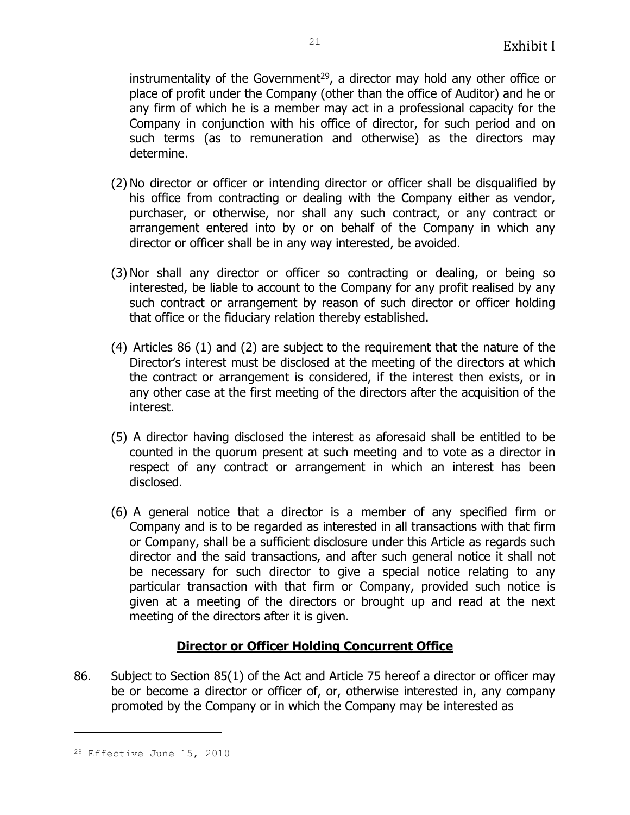instrumentality of the Government<sup>29</sup>, a director may hold any other office or place of profit under the Company (other than the office of Auditor) and he or any firm of which he is a member may act in a professional capacity for the Company in conjunction with his office of director, for such period and on such terms (as to remuneration and otherwise) as the directors may determine.

- (2) No director or officer or intending director or officer shall be disqualified by his office from contracting or dealing with the Company either as vendor, purchaser, or otherwise, nor shall any such contract, or any contract or arrangement entered into by or on behalf of the Company in which any director or officer shall be in any way interested, be avoided.
- (3) Nor shall any director or officer so contracting or dealing, or being so interested, be liable to account to the Company for any profit realised by any such contract or arrangement by reason of such director or officer holding that office or the fiduciary relation thereby established.
- (4) Articles 86 (1) and (2) are subject to the requirement that the nature of the Director's interest must be disclosed at the meeting of the directors at which the contract or arrangement is considered, if the interest then exists, or in any other case at the first meeting of the directors after the acquisition of the interest.
- (5) A director having disclosed the interest as aforesaid shall be entitled to be counted in the quorum present at such meeting and to vote as a director in respect of any contract or arrangement in which an interest has been disclosed.
- (6) A general notice that a director is a member of any specified firm or Company and is to be regarded as interested in all transactions with that firm or Company, shall be a sufficient disclosure under this Article as regards such director and the said transactions, and after such general notice it shall not be necessary for such director to give a special notice relating to any particular transaction with that firm or Company, provided such notice is given at a meeting of the directors or brought up and read at the next meeting of the directors after it is given.

## **Director or Officer Holding Concurrent Office**

86. Subject to Section 85(1) of the Act and Article 75 hereof a director or officer may be or become a director or officer of, or, otherwise interested in, any company promoted by the Company or in which the Company may be interested as

j.

<sup>29</sup> Effective June 15, 2010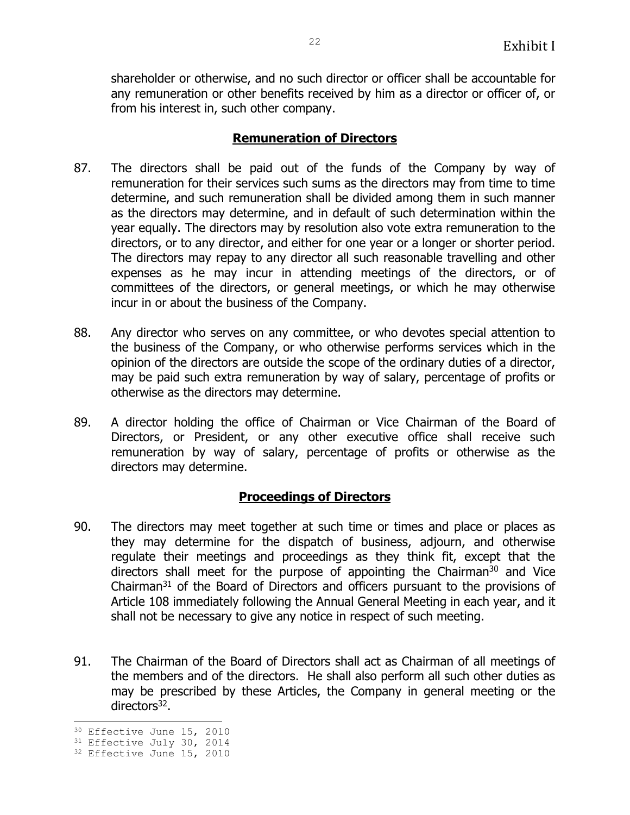shareholder or otherwise, and no such director or officer shall be accountable for any remuneration or other benefits received by him as a director or officer of, or from his interest in, such other company.

# **Remuneration of Directors**

- 87. The directors shall be paid out of the funds of the Company by way of remuneration for their services such sums as the directors may from time to time determine, and such remuneration shall be divided among them in such manner as the directors may determine, and in default of such determination within the year equally. The directors may by resolution also vote extra remuneration to the directors, or to any director, and either for one year or a longer or shorter period. The directors may repay to any director all such reasonable travelling and other expenses as he may incur in attending meetings of the directors, or of committees of the directors, or general meetings, or which he may otherwise incur in or about the business of the Company.
- 88. Any director who serves on any committee, or who devotes special attention to the business of the Company, or who otherwise performs services which in the opinion of the directors are outside the scope of the ordinary duties of a director, may be paid such extra remuneration by way of salary, percentage of profits or otherwise as the directors may determine.
- 89. A director holding the office of Chairman or Vice Chairman of the Board of Directors, or President, or any other executive office shall receive such remuneration by way of salary, percentage of profits or otherwise as the directors may determine.

# **Proceedings of Directors**

- 90. The directors may meet together at such time or times and place or places as they may determine for the dispatch of business, adjourn, and otherwise regulate their meetings and proceedings as they think fit, except that the directors shall meet for the purpose of appointing the Chairman $30$  and Vice Chairman $31$  of the Board of Directors and officers pursuant to the provisions of Article 108 immediately following the Annual General Meeting in each year, and it shall not be necessary to give any notice in respect of such meeting.
- 91. The Chairman of the Board of Directors shall act as Chairman of all meetings of the members and of the directors. He shall also perform all such other duties as may be prescribed by these Articles, the Company in general meeting or the directors<sup>32</sup>.

<sup>÷,</sup> 30 Effective June 15, 2010

<sup>&</sup>lt;sup>31</sup> Effective July 30, 2014

<sup>&</sup>lt;sup>32</sup> Effective June 15, 2010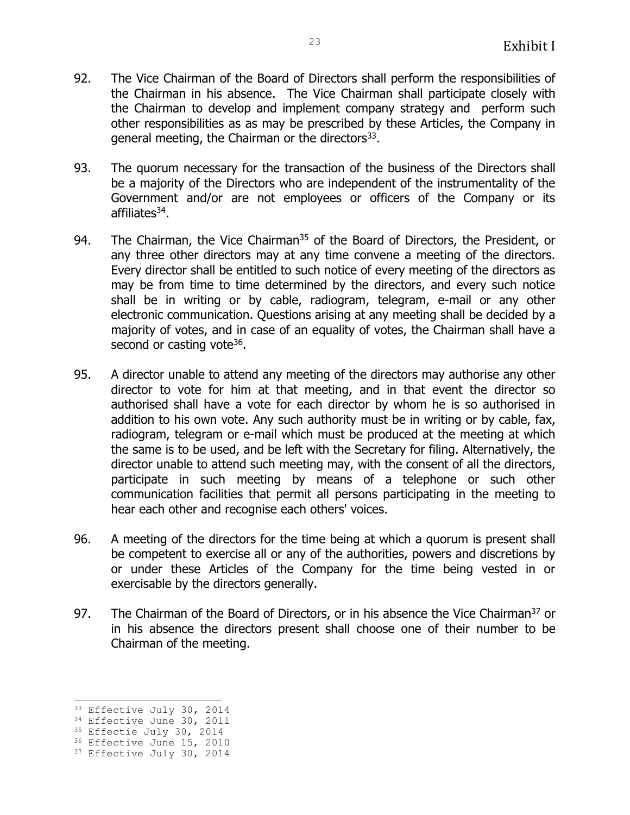- 92. The Vice Chairman of the Board of Directors shall perform the responsibilities of the Chairman in his absence. The Vice Chairman shall participate closely with the Chairman to develop and implement company strategy and perform such other responsibilities as as may be prescribed by these Articles, the Company in general meeting, the Chairman or the directors $^{33}$ .
- 93. The quorum necessary for the transaction of the business of the Directors shall be a majority of the Directors who are independent of the instrumentality of the Government and/or are not employees or officers of the Company or its affiliates<sup>34</sup>.
- 94. The Chairman, the Vice Chairman<sup>35</sup> of the Board of Directors, the President, or any three other directors may at any time convene a meeting of the directors. Every director shall be entitled to such notice of every meeting of the directors as may be from time to time determined by the directors, and every such notice shall be in writing or by cable, radiogram, telegram, e-mail or any other electronic communication. Questions arising at any meeting shall be decided by a majority of votes, and in case of an equality of votes, the Chairman shall have a second or casting vote<sup>36</sup>.
- 95. A director unable to attend any meeting of the directors may authorise any other director to vote for him at that meeting, and in that event the director so authorised shall have a vote for each director by whom he is so authorised in addition to his own vote. Any such authority must be in writing or by cable, fax, radiogram, telegram or e-mail which must be produced at the meeting at which the same is to be used, and be left with the Secretary for filing. Alternatively, the director unable to attend such meeting may, with the consent of all the directors, participate in such meeting by means of a telephone or such other communication facilities that permit all persons participating in the meeting to hear each other and recognise each others' voices.
- 96. A meeting of the directors for the time being at which a quorum is present shall be competent to exercise all or any of the authorities, powers and discretions by or under these Articles of the Company for the time being vested in or exercisable by the directors generally.
- 97. The Chairman of the Board of Directors, or in his absence the Vice Chairman<sup>37</sup> or in his absence the directors present shall choose one of their number to be Chairman of the meeting.

÷,

<sup>33</sup> Effective July 30, 2014

<sup>&</sup>lt;sup>34</sup> Effective June 30, 2011

<sup>&</sup>lt;sup>35</sup> Effectie July 30, 2014

<sup>36</sup> Effective June 15, 2010 <sup>37</sup> Effective July 30, 2014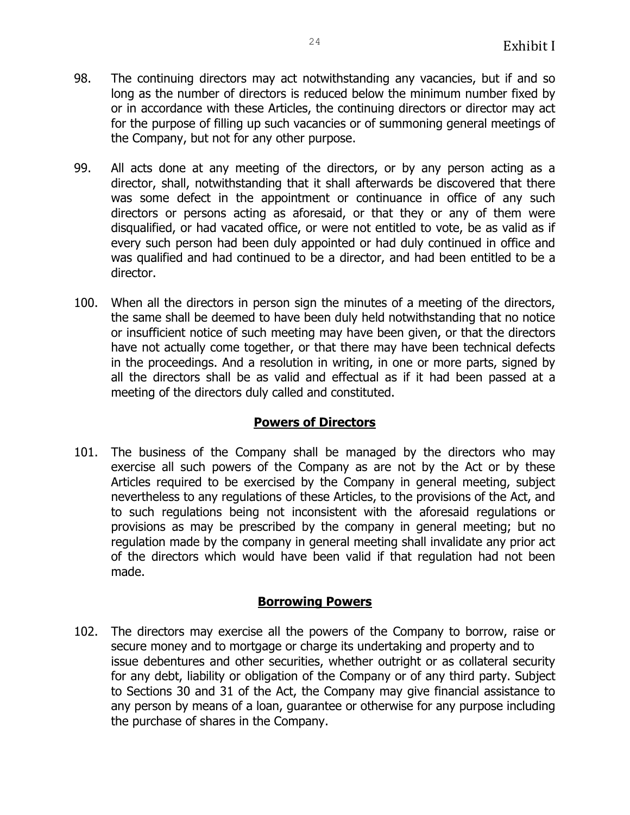- 98. The continuing directors may act notwithstanding any vacancies, but if and so long as the number of directors is reduced below the minimum number fixed by or in accordance with these Articles, the continuing directors or director may act for the purpose of filling up such vacancies or of summoning general meetings of the Company, but not for any other purpose.
- 99. All acts done at any meeting of the directors, or by any person acting as a director, shall, notwithstanding that it shall afterwards be discovered that there was some defect in the appointment or continuance in office of any such directors or persons acting as aforesaid, or that they or any of them were disqualified, or had vacated office, or were not entitled to vote, be as valid as if every such person had been duly appointed or had duly continued in office and was qualified and had continued to be a director, and had been entitled to be a director.
- 100. When all the directors in person sign the minutes of a meeting of the directors, the same shall be deemed to have been duly held notwithstanding that no notice or insufficient notice of such meeting may have been given, or that the directors have not actually come together, or that there may have been technical defects in the proceedings. And a resolution in writing, in one or more parts, signed by all the directors shall be as valid and effectual as if it had been passed at a meeting of the directors duly called and constituted.

## **Powers of Directors**

101. The business of the Company shall be managed by the directors who may exercise all such powers of the Company as are not by the Act or by these Articles required to be exercised by the Company in general meeting, subject nevertheless to any regulations of these Articles, to the provisions of the Act, and to such regulations being not inconsistent with the aforesaid regulations or provisions as may be prescribed by the company in general meeting; but no regulation made by the company in general meeting shall invalidate any prior act of the directors which would have been valid if that regulation had not been made.

## **Borrowing Powers**

102. The directors may exercise all the powers of the Company to borrow, raise or secure money and to mortgage or charge its undertaking and property and to issue debentures and other securities, whether outright or as collateral security for any debt, liability or obligation of the Company or of any third party. Subject to Sections 30 and 31 of the Act, the Company may give financial assistance to any person by means of a loan, guarantee or otherwise for any purpose including the purchase of shares in the Company.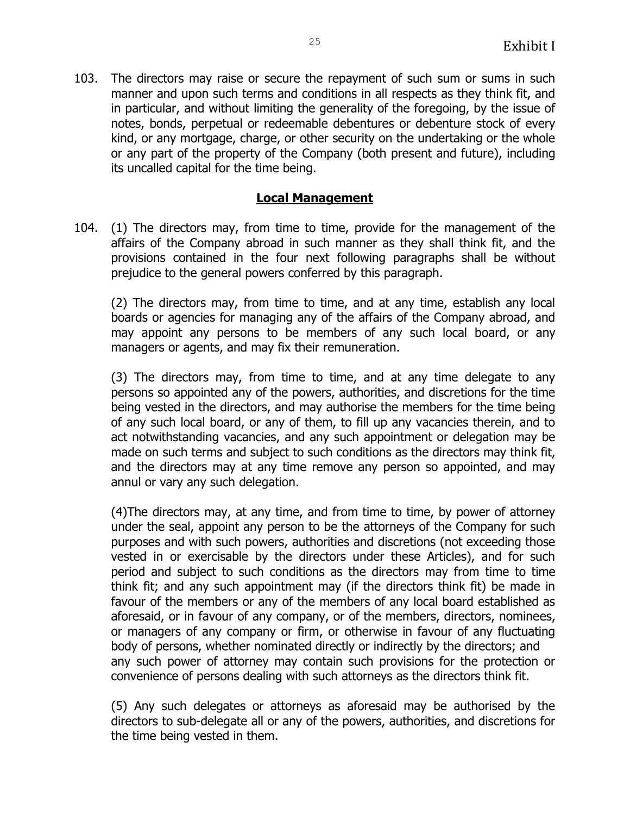103. The directors may raise or secure the repayment of such sum or sums in such manner and upon such terms and conditions in all respects as they think fit, and in particular, and without limiting the generality of the foregoing, by the issue of notes, bonds, perpetual or redeemable debentures or debenture stock of every kind, or any mortgage, charge, or other security on the undertaking or the whole or any part of the property of the Company (both present and future), including its uncalled capital for the time being.

#### **Local Management**

104. (1) The directors may, from time to time, provide for the management of the affairs of the Company abroad in such manner as they shall think fit, and the provisions contained in the four next following paragraphs shall be without prejudice to the general powers conferred by this paragraph.

(2) The directors may, from time to time, and at any time, establish any local boards or agencies for managing any of the affairs of the Company abroad, and may appoint any persons to be members of any such local board, or any managers or agents, and may fix their remuneration.

(3) The directors may, from time to time, and at any time delegate to any persons so appointed any of the powers, authorities, and discretions for the time being vested in the directors, and may authorise the members for the time being of any such local board, or any of them, to fill up any vacancies therein, and to act notwithstanding vacancies, and any such appointment or delegation may be made on such terms and subject to such conditions as the directors may think fit, and the directors may at any time remove any person so appointed, and may annul or vary any such delegation.

(4)The directors may, at any time, and from time to time, by power of attorney under the seal, appoint any person to be the attorneys of the Company for such purposes and with such powers, authorities and discretions (not exceeding those vested in or exercisable by the directors under these Articles), and for such period and subject to such conditions as the directors may from time to time think fit; and any such appointment may (if the directors think fit) be made in favour of the members or any of the members of any local board established as aforesaid, or in favour of any company, or of the members, directors, nominees, or managers of any company or firm, or otherwise in favour of any fluctuating body of persons, whether nominated directly or indirectly by the directors; and any such power of attorney may contain such provisions for the protection or convenience of persons dealing with such attorneys as the directors think fit.

(5) Any such delegates or attorneys as aforesaid may be authorised by the directors to sub-delegate all or any of the powers, authorities, and discretions for the time being vested in them.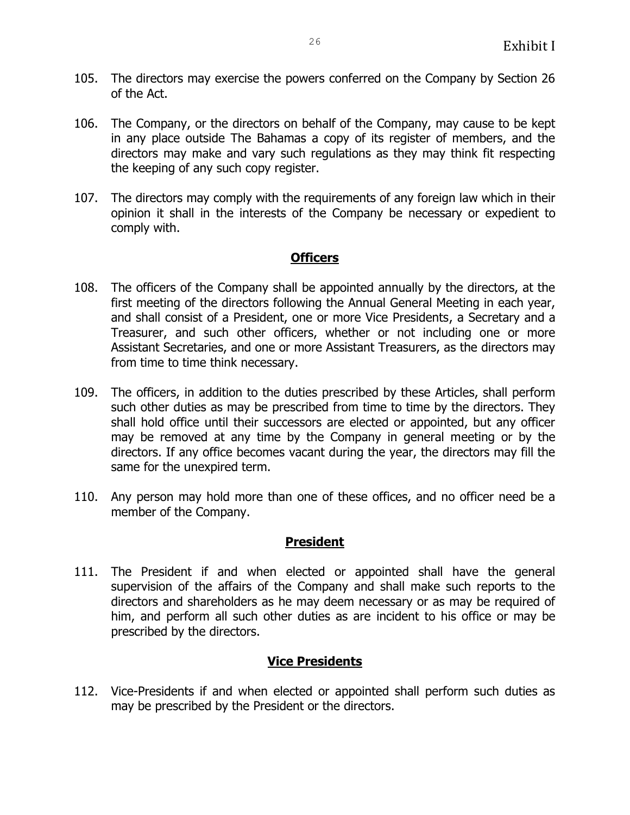- 105. The directors may exercise the powers conferred on the Company by Section 26 of the Act.
- 106. The Company, or the directors on behalf of the Company, may cause to be kept in any place outside The Bahamas a copy of its register of members, and the directors may make and vary such regulations as they may think fit respecting the keeping of any such copy register.
- 107. The directors may comply with the requirements of any foreign law which in their opinion it shall in the interests of the Company be necessary or expedient to comply with.

#### **Officers**

- 108. The officers of the Company shall be appointed annually by the directors, at the first meeting of the directors following the Annual General Meeting in each year, and shall consist of a President, one or more Vice Presidents, a Secretary and a Treasurer, and such other officers, whether or not including one or more Assistant Secretaries, and one or more Assistant Treasurers, as the directors may from time to time think necessary.
- 109. The officers, in addition to the duties prescribed by these Articles, shall perform such other duties as may be prescribed from time to time by the directors. They shall hold office until their successors are elected or appointed, but any officer may be removed at any time by the Company in general meeting or by the directors. If any office becomes vacant during the year, the directors may fill the same for the unexpired term.
- 110. Any person may hold more than one of these offices, and no officer need be a member of the Company.

#### **President**

111. The President if and when elected or appointed shall have the general supervision of the affairs of the Company and shall make such reports to the directors and shareholders as he may deem necessary or as may be required of him, and perform all such other duties as are incident to his office or may be prescribed by the directors.

## **Vice Presidents**

112. Vice-Presidents if and when elected or appointed shall perform such duties as may be prescribed by the President or the directors.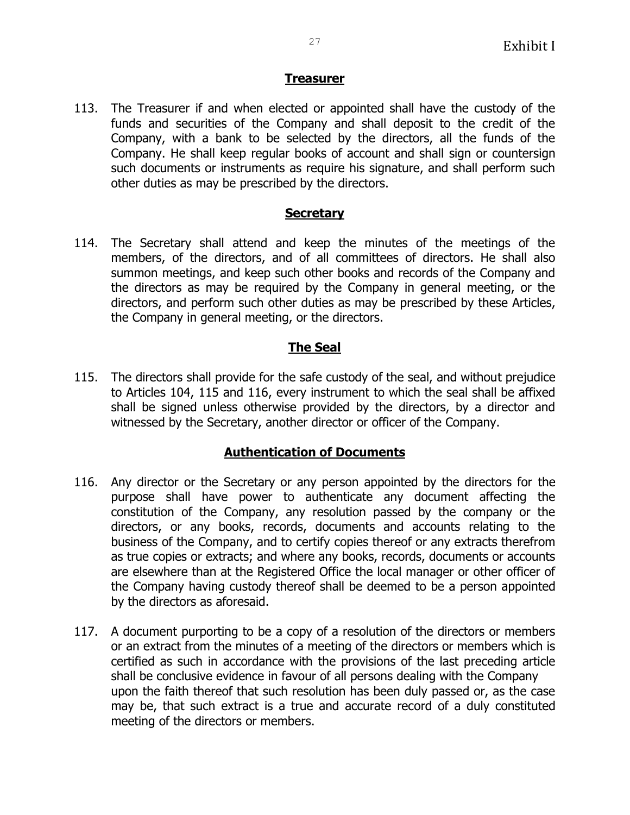### **Treasurer**

113. The Treasurer if and when elected or appointed shall have the custody of the funds and securities of the Company and shall deposit to the credit of the Company, with a bank to be selected by the directors, all the funds of the Company. He shall keep regular books of account and shall sign or countersign such documents or instruments as require his signature, and shall perform such other duties as may be prescribed by the directors.

#### **Secretary**

114. The Secretary shall attend and keep the minutes of the meetings of the members, of the directors, and of all committees of directors. He shall also summon meetings, and keep such other books and records of the Company and the directors as may be required by the Company in general meeting, or the directors, and perform such other duties as may be prescribed by these Articles, the Company in general meeting, or the directors.

## **The Seal**

115. The directors shall provide for the safe custody of the seal, and without prejudice to Articles 104, 115 and 116, every instrument to which the seal shall be affixed shall be signed unless otherwise provided by the directors, by a director and witnessed by the Secretary, another director or officer of the Company.

## **Authentication of Documents**

- 116. Any director or the Secretary or any person appointed by the directors for the purpose shall have power to authenticate any document affecting the constitution of the Company, any resolution passed by the company or the directors, or any books, records, documents and accounts relating to the business of the Company, and to certify copies thereof or any extracts therefrom as true copies or extracts; and where any books, records, documents or accounts are elsewhere than at the Registered Office the local manager or other officer of the Company having custody thereof shall be deemed to be a person appointed by the directors as aforesaid.
- 117. A document purporting to be a copy of a resolution of the directors or members or an extract from the minutes of a meeting of the directors or members which is certified as such in accordance with the provisions of the last preceding article shall be conclusive evidence in favour of all persons dealing with the Company upon the faith thereof that such resolution has been duly passed or, as the case may be, that such extract is a true and accurate record of a duly constituted meeting of the directors or members.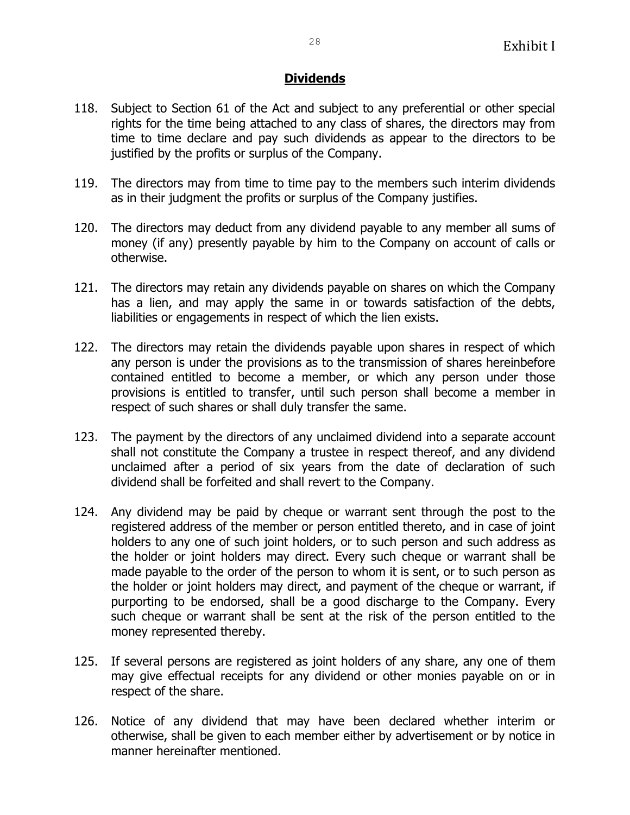## **Dividends**

- 118. Subject to Section 61 of the Act and subject to any preferential or other special rights for the time being attached to any class of shares, the directors may from time to time declare and pay such dividends as appear to the directors to be justified by the profits or surplus of the Company.
- 119. The directors may from time to time pay to the members such interim dividends as in their judgment the profits or surplus of the Company justifies.
- 120. The directors may deduct from any dividend payable to any member all sums of money (if any) presently payable by him to the Company on account of calls or otherwise.
- 121. The directors may retain any dividends payable on shares on which the Company has a lien, and may apply the same in or towards satisfaction of the debts, liabilities or engagements in respect of which the lien exists.
- 122. The directors may retain the dividends payable upon shares in respect of which any person is under the provisions as to the transmission of shares hereinbefore contained entitled to become a member, or which any person under those provisions is entitled to transfer, until such person shall become a member in respect of such shares or shall duly transfer the same.
- 123. The payment by the directors of any unclaimed dividend into a separate account shall not constitute the Company a trustee in respect thereof, and any dividend unclaimed after a period of six years from the date of declaration of such dividend shall be forfeited and shall revert to the Company.
- 124. Any dividend may be paid by cheque or warrant sent through the post to the registered address of the member or person entitled thereto, and in case of joint holders to any one of such joint holders, or to such person and such address as the holder or joint holders may direct. Every such cheque or warrant shall be made payable to the order of the person to whom it is sent, or to such person as the holder or joint holders may direct, and payment of the cheque or warrant, if purporting to be endorsed, shall be a good discharge to the Company. Every such cheque or warrant shall be sent at the risk of the person entitled to the money represented thereby.
- 125. If several persons are registered as joint holders of any share, any one of them may give effectual receipts for any dividend or other monies payable on or in respect of the share.
- 126. Notice of any dividend that may have been declared whether interim or otherwise, shall be given to each member either by advertisement or by notice in manner hereinafter mentioned.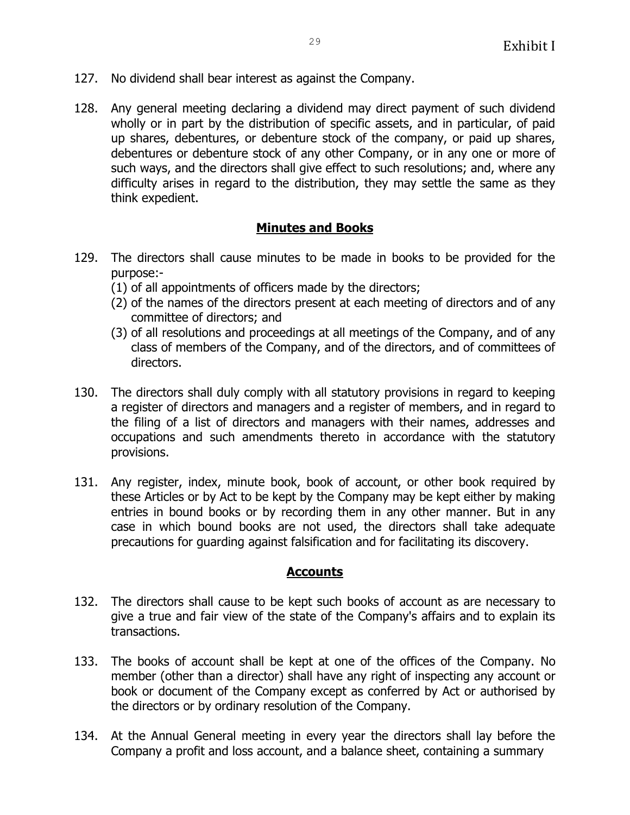- 127. No dividend shall bear interest as against the Company.
- 128. Any general meeting declaring a dividend may direct payment of such dividend wholly or in part by the distribution of specific assets, and in particular, of paid up shares, debentures, or debenture stock of the company, or paid up shares, debentures or debenture stock of any other Company, or in any one or more of such ways, and the directors shall give effect to such resolutions; and, where any difficulty arises in regard to the distribution, they may settle the same as they think expedient.

## **Minutes and Books**

- 129. The directors shall cause minutes to be made in books to be provided for the purpose:-
	- (1) of all appointments of officers made by the directors;
	- (2) of the names of the directors present at each meeting of directors and of any committee of directors; and
	- (3) of all resolutions and proceedings at all meetings of the Company, and of any class of members of the Company, and of the directors, and of committees of directors.
- 130. The directors shall duly comply with all statutory provisions in regard to keeping a register of directors and managers and a register of members, and in regard to the filing of a list of directors and managers with their names, addresses and occupations and such amendments thereto in accordance with the statutory provisions.
- 131. Any register, index, minute book, book of account, or other book required by these Articles or by Act to be kept by the Company may be kept either by making entries in bound books or by recording them in any other manner. But in any case in which bound books are not used, the directors shall take adequate precautions for guarding against falsification and for facilitating its discovery.

#### **Accounts**

- 132. The directors shall cause to be kept such books of account as are necessary to give a true and fair view of the state of the Company's affairs and to explain its transactions.
- 133. The books of account shall be kept at one of the offices of the Company. No member (other than a director) shall have any right of inspecting any account or book or document of the Company except as conferred by Act or authorised by the directors or by ordinary resolution of the Company.
- 134. At the Annual General meeting in every year the directors shall lay before the Company a profit and loss account, and a balance sheet, containing a summary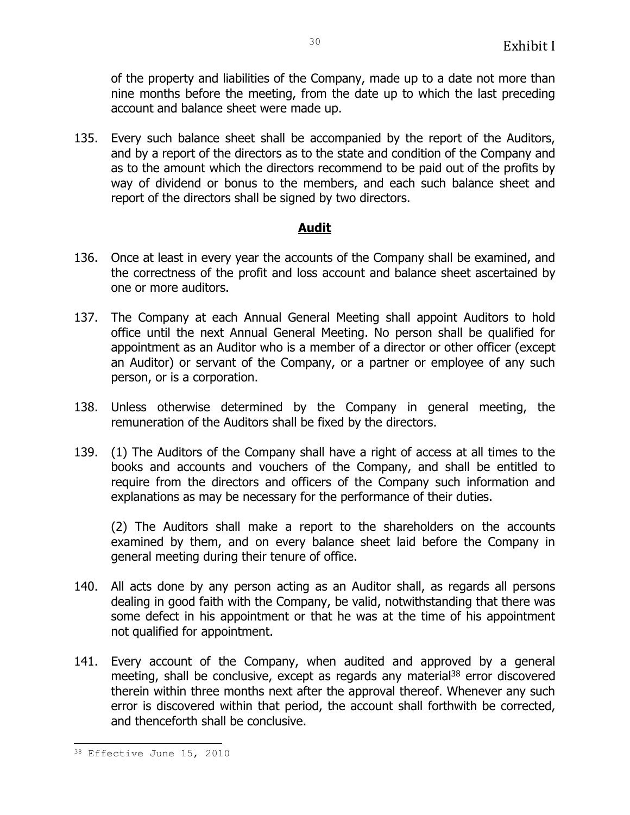of the property and liabilities of the Company, made up to a date not more than nine months before the meeting, from the date up to which the last preceding account and balance sheet were made up.

135. Every such balance sheet shall be accompanied by the report of the Auditors, and by a report of the directors as to the state and condition of the Company and as to the amount which the directors recommend to be paid out of the profits by way of dividend or bonus to the members, and each such balance sheet and report of the directors shall be signed by two directors.

## **Audit**

- 136. Once at least in every year the accounts of the Company shall be examined, and the correctness of the profit and loss account and balance sheet ascertained by one or more auditors.
- 137. The Company at each Annual General Meeting shall appoint Auditors to hold office until the next Annual General Meeting. No person shall be qualified for appointment as an Auditor who is a member of a director or other officer (except an Auditor) or servant of the Company, or a partner or employee of any such person, or is a corporation.
- 138. Unless otherwise determined by the Company in general meeting, the remuneration of the Auditors shall be fixed by the directors.
- 139. (1) The Auditors of the Company shall have a right of access at all times to the books and accounts and vouchers of the Company, and shall be entitled to require from the directors and officers of the Company such information and explanations as may be necessary for the performance of their duties.

(2) The Auditors shall make a report to the shareholders on the accounts examined by them, and on every balance sheet laid before the Company in general meeting during their tenure of office.

- 140. All acts done by any person acting as an Auditor shall, as regards all persons dealing in good faith with the Company, be valid, notwithstanding that there was some defect in his appointment or that he was at the time of his appointment not qualified for appointment.
- 141. Every account of the Company, when audited and approved by a general meeting, shall be conclusive, except as regards any material<sup>38</sup> error discovered therein within three months next after the approval thereof. Whenever any such error is discovered within that period, the account shall forthwith be corrected, and thenceforth shall be conclusive.

ı. 38 Effective June 15, 2010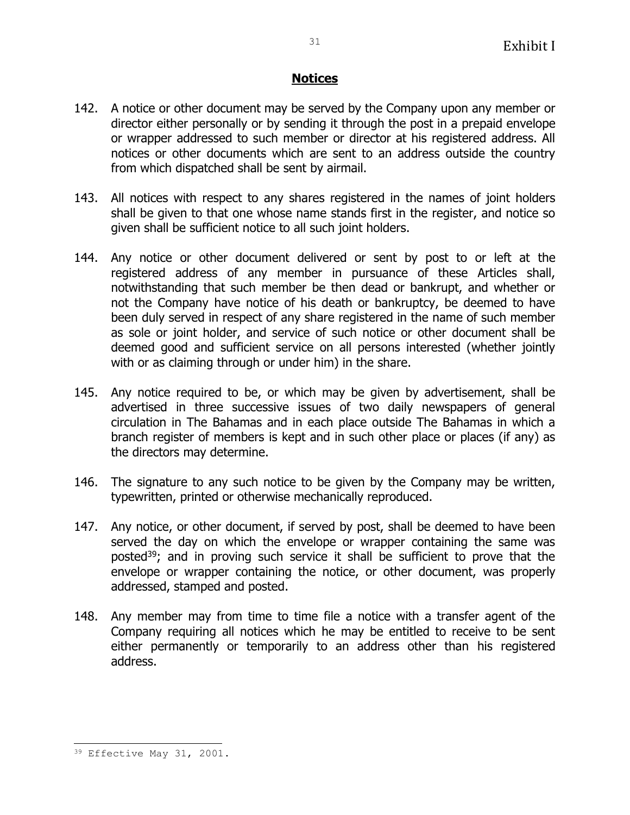### **Notices**

- 142. A notice or other document may be served by the Company upon any member or director either personally or by sending it through the post in a prepaid envelope or wrapper addressed to such member or director at his registered address. All notices or other documents which are sent to an address outside the country from which dispatched shall be sent by airmail.
- 143. All notices with respect to any shares registered in the names of joint holders shall be given to that one whose name stands first in the register, and notice so given shall be sufficient notice to all such joint holders.
- 144. Any notice or other document delivered or sent by post to or left at the registered address of any member in pursuance of these Articles shall, notwithstanding that such member be then dead or bankrupt, and whether or not the Company have notice of his death or bankruptcy, be deemed to have been duly served in respect of any share registered in the name of such member as sole or joint holder, and service of such notice or other document shall be deemed good and sufficient service on all persons interested (whether jointly with or as claiming through or under him) in the share.
- 145. Any notice required to be, or which may be given by advertisement, shall be advertised in three successive issues of two daily newspapers of general circulation in The Bahamas and in each place outside The Bahamas in which a branch register of members is kept and in such other place or places (if any) as the directors may determine.
- 146. The signature to any such notice to be given by the Company may be written, typewritten, printed or otherwise mechanically reproduced.
- 147. Any notice, or other document, if served by post, shall be deemed to have been served the day on which the envelope or wrapper containing the same was posted<sup>39</sup>; and in proving such service it shall be sufficient to prove that the envelope or wrapper containing the notice, or other document, was properly addressed, stamped and posted.
- 148. Any member may from time to time file a notice with a transfer agent of the Company requiring all notices which he may be entitled to receive to be sent either permanently or temporarily to an address other than his registered address.

ı.

<sup>39</sup> Effective May 31, 2001.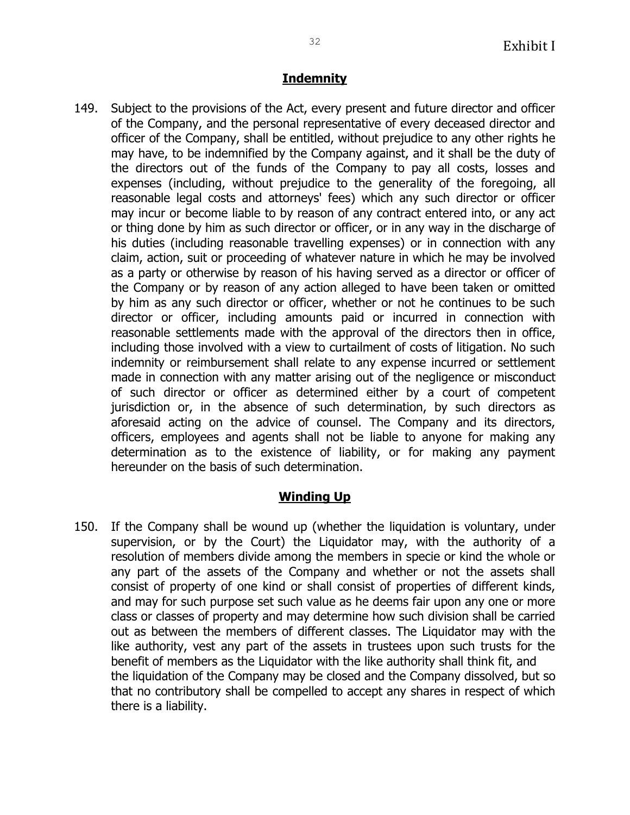# **Indemnity**

149. Subject to the provisions of the Act, every present and future director and officer of the Company, and the personal representative of every deceased director and officer of the Company, shall be entitled, without prejudice to any other rights he may have, to be indemnified by the Company against, and it shall be the duty of the directors out of the funds of the Company to pay all costs, losses and expenses (including, without prejudice to the generality of the foregoing, all reasonable legal costs and attorneys' fees) which any such director or officer may incur or become liable to by reason of any contract entered into, or any act or thing done by him as such director or officer, or in any way in the discharge of his duties (including reasonable travelling expenses) or in connection with any claim, action, suit or proceeding of whatever nature in which he may be involved as a party or otherwise by reason of his having served as a director or officer of the Company or by reason of any action alleged to have been taken or omitted by him as any such director or officer, whether or not he continues to be such director or officer, including amounts paid or incurred in connection with reasonable settlements made with the approval of the directors then in office, including those involved with a view to curtailment of costs of litigation. No such indemnity or reimbursement shall relate to any expense incurred or settlement made in connection with any matter arising out of the negligence or misconduct of such director or officer as determined either by a court of competent jurisdiction or, in the absence of such determination, by such directors as aforesaid acting on the advice of counsel. The Company and its directors, officers, employees and agents shall not be liable to anyone for making any determination as to the existence of liability, or for making any payment hereunder on the basis of such determination.

# **Winding Up**

150. If the Company shall be wound up (whether the liquidation is voluntary, under supervision, or by the Court) the Liquidator may, with the authority of a resolution of members divide among the members in specie or kind the whole or any part of the assets of the Company and whether or not the assets shall consist of property of one kind or shall consist of properties of different kinds, and may for such purpose set such value as he deems fair upon any one or more class or classes of property and may determine how such division shall be carried out as between the members of different classes. The Liquidator may with the like authority, vest any part of the assets in trustees upon such trusts for the benefit of members as the Liquidator with the like authority shall think fit, and the liquidation of the Company may be closed and the Company dissolved, but so that no contributory shall be compelled to accept any shares in respect of which there is a liability.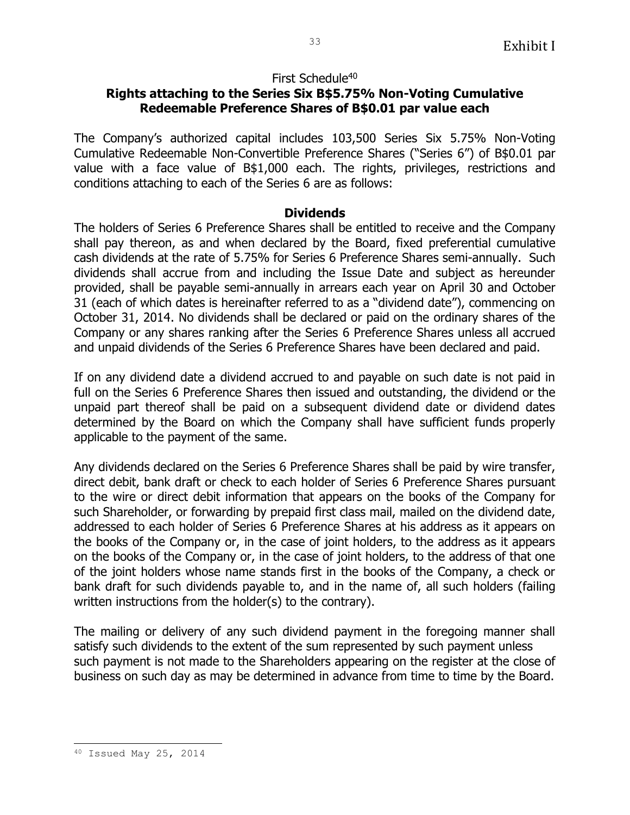### First Schedule<sup>40</sup>

## **Rights attaching to the Series Six B\$5.75% Non-Voting Cumulative Redeemable Preference Shares of B\$0.01 par value each**

The Company's authorized capital includes 103,500 Series Six 5.75% Non-Voting Cumulative Redeemable Non-Convertible Preference Shares ("Series 6") of B\$0.01 par value with a face value of B\$1,000 each. The rights, privileges, restrictions and conditions attaching to each of the Series 6 are as follows:

#### **Dividends**

The holders of Series 6 Preference Shares shall be entitled to receive and the Company shall pay thereon, as and when declared by the Board, fixed preferential cumulative cash dividends at the rate of 5.75% for Series 6 Preference Shares semi-annually. Such dividends shall accrue from and including the Issue Date and subject as hereunder provided, shall be payable semi-annually in arrears each year on April 30 and October 31 (each of which dates is hereinafter referred to as a "dividend date"), commencing on October 31, 2014. No dividends shall be declared or paid on the ordinary shares of the Company or any shares ranking after the Series 6 Preference Shares unless all accrued and unpaid dividends of the Series 6 Preference Shares have been declared and paid.

If on any dividend date a dividend accrued to and payable on such date is not paid in full on the Series 6 Preference Shares then issued and outstanding, the dividend or the unpaid part thereof shall be paid on a subsequent dividend date or dividend dates determined by the Board on which the Company shall have sufficient funds properly applicable to the payment of the same.

Any dividends declared on the Series 6 Preference Shares shall be paid by wire transfer, direct debit, bank draft or check to each holder of Series 6 Preference Shares pursuant to the wire or direct debit information that appears on the books of the Company for such Shareholder, or forwarding by prepaid first class mail, mailed on the dividend date, addressed to each holder of Series 6 Preference Shares at his address as it appears on the books of the Company or, in the case of joint holders, to the address as it appears on the books of the Company or, in the case of joint holders, to the address of that one of the joint holders whose name stands first in the books of the Company, a check or bank draft for such dividends payable to, and in the name of, all such holders (failing written instructions from the holder(s) to the contrary).

The mailing or delivery of any such dividend payment in the foregoing manner shall satisfy such dividends to the extent of the sum represented by such payment unless such payment is not made to the Shareholders appearing on the register at the close of business on such day as may be determined in advance from time to time by the Board.

ı. <sup>40</sup> Issued May 25, 2014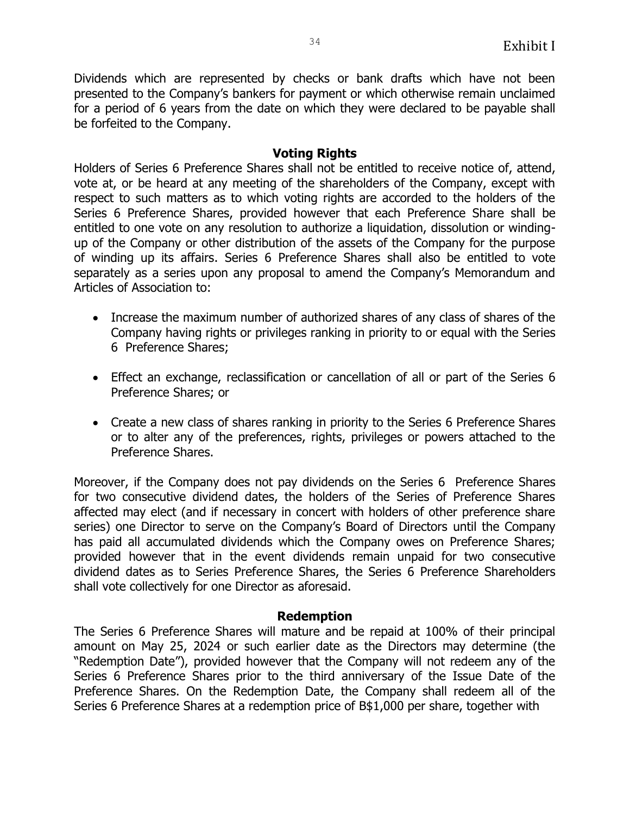Dividends which are represented by checks or bank drafts which have not been presented to the Company's bankers for payment or which otherwise remain unclaimed for a period of 6 years from the date on which they were declared to be payable shall be forfeited to the Company.

#### **Voting Rights**

Holders of Series 6 Preference Shares shall not be entitled to receive notice of, attend, vote at, or be heard at any meeting of the shareholders of the Company, except with respect to such matters as to which voting rights are accorded to the holders of the Series 6 Preference Shares, provided however that each Preference Share shall be entitled to one vote on any resolution to authorize a liquidation, dissolution or windingup of the Company or other distribution of the assets of the Company for the purpose of winding up its affairs. Series 6 Preference Shares shall also be entitled to vote separately as a series upon any proposal to amend the Company's Memorandum and Articles of Association to:

- Increase the maximum number of authorized shares of any class of shares of the Company having rights or privileges ranking in priority to or equal with the Series 6 Preference Shares;
- Effect an exchange, reclassification or cancellation of all or part of the Series 6 Preference Shares; or
- Create a new class of shares ranking in priority to the Series 6 Preference Shares or to alter any of the preferences, rights, privileges or powers attached to the Preference Shares.

Moreover, if the Company does not pay dividends on the Series 6 Preference Shares for two consecutive dividend dates, the holders of the Series of Preference Shares affected may elect (and if necessary in concert with holders of other preference share series) one Director to serve on the Company's Board of Directors until the Company has paid all accumulated dividends which the Company owes on Preference Shares; provided however that in the event dividends remain unpaid for two consecutive dividend dates as to Series Preference Shares, the Series 6 Preference Shareholders shall vote collectively for one Director as aforesaid.

#### **Redemption**

The Series 6 Preference Shares will mature and be repaid at 100% of their principal amount on May 25, 2024 or such earlier date as the Directors may determine (the "Redemption Date"), provided however that the Company will not redeem any of the Series 6 Preference Shares prior to the third anniversary of the Issue Date of the Preference Shares. On the Redemption Date, the Company shall redeem all of the Series 6 Preference Shares at a redemption price of B\$1,000 per share, together with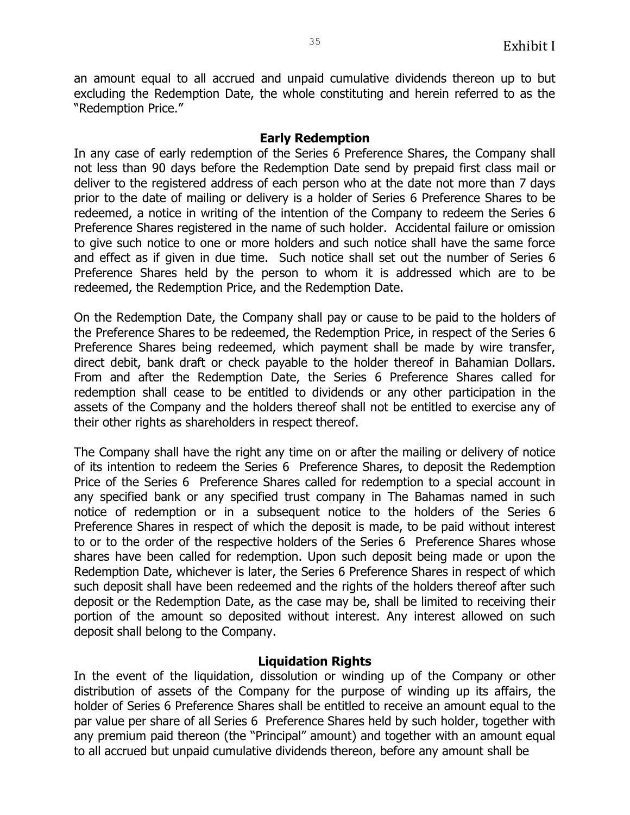an amount equal to all accrued and unpaid cumulative dividends thereon up to but excluding the Redemption Date, the whole constituting and herein referred to as the "Redemption Price."

#### **Early Redemption**

In any case of early redemption of the Series 6 Preference Shares, the Company shall not less than 90 days before the Redemption Date send by prepaid first class mail or deliver to the registered address of each person who at the date not more than 7 days prior to the date of mailing or delivery is a holder of Series 6 Preference Shares to be redeemed, a notice in writing of the intention of the Company to redeem the Series 6 Preference Shares registered in the name of such holder. Accidental failure or omission to give such notice to one or more holders and such notice shall have the same force and effect as if given in due time. Such notice shall set out the number of Series 6 Preference Shares held by the person to whom it is addressed which are to be redeemed, the Redemption Price, and the Redemption Date.

On the Redemption Date, the Company shall pay or cause to be paid to the holders of the Preference Shares to be redeemed, the Redemption Price, in respect of the Series 6 Preference Shares being redeemed, which payment shall be made by wire transfer, direct debit, bank draft or check payable to the holder thereof in Bahamian Dollars. From and after the Redemption Date, the Series 6 Preference Shares called for redemption shall cease to be entitled to dividends or any other participation in the assets of the Company and the holders thereof shall not be entitled to exercise any of their other rights as shareholders in respect thereof.

The Company shall have the right any time on or after the mailing or delivery of notice of its intention to redeem the Series 6 Preference Shares, to deposit the Redemption Price of the Series 6 Preference Shares called for redemption to a special account in any specified bank or any specified trust company in The Bahamas named in such notice of redemption or in a subsequent notice to the holders of the Series 6 Preference Shares in respect of which the deposit is made, to be paid without interest to or to the order of the respective holders of the Series 6 Preference Shares whose shares have been called for redemption. Upon such deposit being made or upon the Redemption Date, whichever is later, the Series 6 Preference Shares in respect of which such deposit shall have been redeemed and the rights of the holders thereof after such deposit or the Redemption Date, as the case may be, shall be limited to receiving their portion of the amount so deposited without interest. Any interest allowed on such deposit shall belong to the Company.

#### **Liquidation Rights**

In the event of the liquidation, dissolution or winding up of the Company or other distribution of assets of the Company for the purpose of winding up its affairs, the holder of Series 6 Preference Shares shall be entitled to receive an amount equal to the par value per share of all Series 6 Preference Shares held by such holder, together with any premium paid thereon (the "Principal" amount) and together with an amount equal to all accrued but unpaid cumulative dividends thereon, before any amount shall be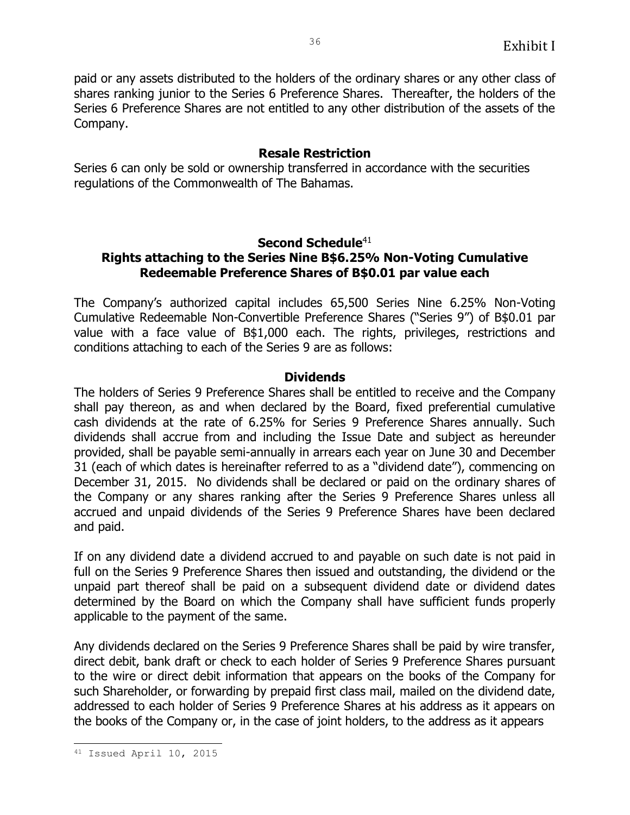paid or any assets distributed to the holders of the ordinary shares or any other class of shares ranking junior to the Series 6 Preference Shares. Thereafter, the holders of the Series 6 Preference Shares are not entitled to any other distribution of the assets of the Company.

## **Resale Restriction**

Series 6 can only be sold or ownership transferred in accordance with the securities regulations of the Commonwealth of The Bahamas.

# **Second Schedule**<sup>41</sup>

## **Rights attaching to the Series Nine B\$6.25% Non-Voting Cumulative Redeemable Preference Shares of B\$0.01 par value each**

The Company's authorized capital includes 65,500 Series Nine 6.25% Non-Voting Cumulative Redeemable Non-Convertible Preference Shares ("Series 9") of B\$0.01 par value with a face value of B\$1,000 each. The rights, privileges, restrictions and conditions attaching to each of the Series 9 are as follows:

#### **Dividends**

The holders of Series 9 Preference Shares shall be entitled to receive and the Company shall pay thereon, as and when declared by the Board, fixed preferential cumulative cash dividends at the rate of 6.25% for Series 9 Preference Shares annually. Such dividends shall accrue from and including the Issue Date and subject as hereunder provided, shall be payable semi-annually in arrears each year on June 30 and December 31 (each of which dates is hereinafter referred to as a "dividend date"), commencing on December 31, 2015. No dividends shall be declared or paid on the ordinary shares of the Company or any shares ranking after the Series 9 Preference Shares unless all accrued and unpaid dividends of the Series 9 Preference Shares have been declared and paid.

If on any dividend date a dividend accrued to and payable on such date is not paid in full on the Series 9 Preference Shares then issued and outstanding, the dividend or the unpaid part thereof shall be paid on a subsequent dividend date or dividend dates determined by the Board on which the Company shall have sufficient funds properly applicable to the payment of the same.

Any dividends declared on the Series 9 Preference Shares shall be paid by wire transfer, direct debit, bank draft or check to each holder of Series 9 Preference Shares pursuant to the wire or direct debit information that appears on the books of the Company for such Shareholder, or forwarding by prepaid first class mail, mailed on the dividend date, addressed to each holder of Series 9 Preference Shares at his address as it appears on the books of the Company or, in the case of joint holders, to the address as it appears

ı. 41 Issued April 10, 2015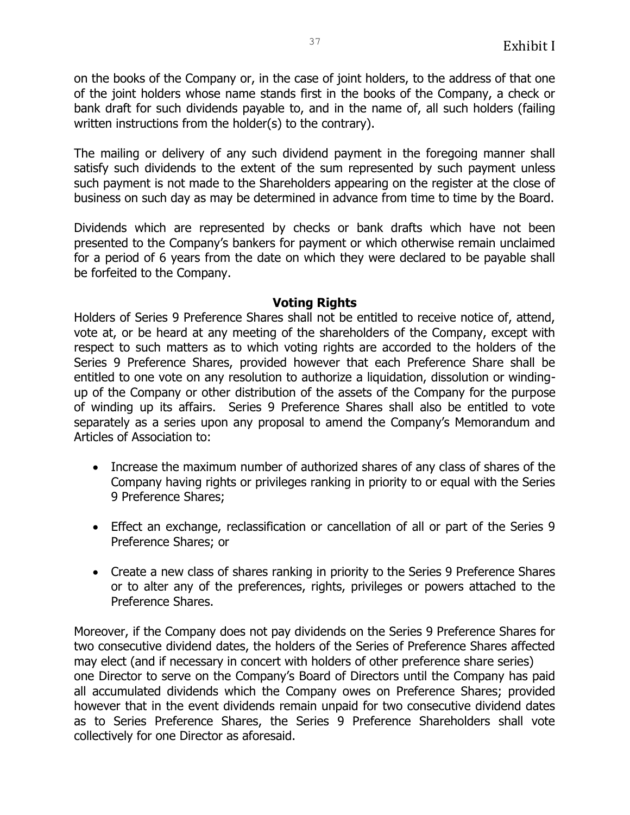on the books of the Company or, in the case of joint holders, to the address of that one of the joint holders whose name stands first in the books of the Company, a check or bank draft for such dividends payable to, and in the name of, all such holders (failing written instructions from the holder(s) to the contrary).

The mailing or delivery of any such dividend payment in the foregoing manner shall satisfy such dividends to the extent of the sum represented by such payment unless such payment is not made to the Shareholders appearing on the register at the close of business on such day as may be determined in advance from time to time by the Board.

Dividends which are represented by checks or bank drafts which have not been presented to the Company's bankers for payment or which otherwise remain unclaimed for a period of 6 years from the date on which they were declared to be payable shall be forfeited to the Company.

#### **Voting Rights**

Holders of Series 9 Preference Shares shall not be entitled to receive notice of, attend, vote at, or be heard at any meeting of the shareholders of the Company, except with respect to such matters as to which voting rights are accorded to the holders of the Series 9 Preference Shares, provided however that each Preference Share shall be entitled to one vote on any resolution to authorize a liquidation, dissolution or windingup of the Company or other distribution of the assets of the Company for the purpose of winding up its affairs. Series 9 Preference Shares shall also be entitled to vote separately as a series upon any proposal to amend the Company's Memorandum and Articles of Association to:

- Increase the maximum number of authorized shares of any class of shares of the Company having rights or privileges ranking in priority to or equal with the Series 9 Preference Shares;
- Effect an exchange, reclassification or cancellation of all or part of the Series 9 Preference Shares; or
- Create a new class of shares ranking in priority to the Series 9 Preference Shares or to alter any of the preferences, rights, privileges or powers attached to the Preference Shares.

Moreover, if the Company does not pay dividends on the Series 9 Preference Shares for two consecutive dividend dates, the holders of the Series of Preference Shares affected may elect (and if necessary in concert with holders of other preference share series) one Director to serve on the Company's Board of Directors until the Company has paid all accumulated dividends which the Company owes on Preference Shares; provided however that in the event dividends remain unpaid for two consecutive dividend dates as to Series Preference Shares, the Series 9 Preference Shareholders shall vote collectively for one Director as aforesaid.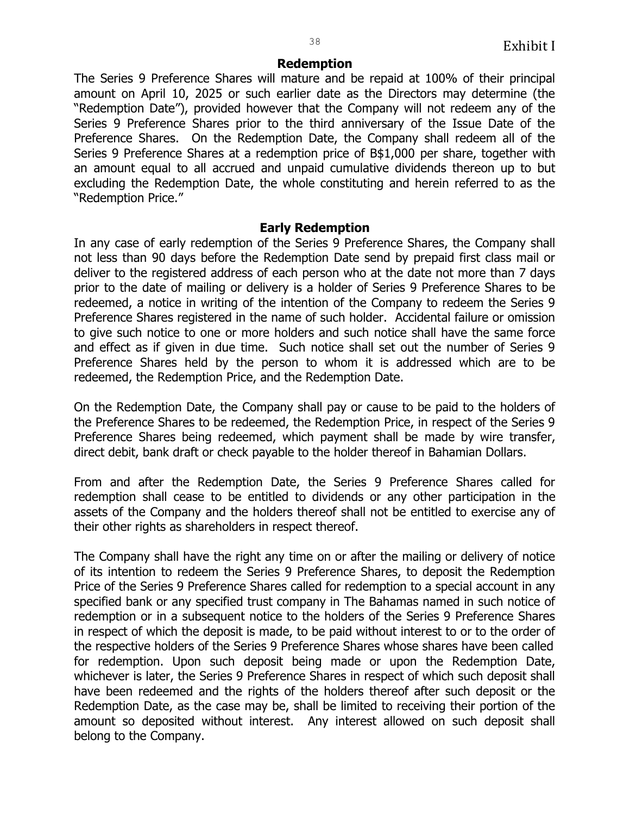#### **Redemption**

The Series 9 Preference Shares will mature and be repaid at 100% of their principal amount on April 10, 2025 or such earlier date as the Directors may determine (the "Redemption Date"), provided however that the Company will not redeem any of the Series 9 Preference Shares prior to the third anniversary of the Issue Date of the Preference Shares. On the Redemption Date, the Company shall redeem all of the Series 9 Preference Shares at a redemption price of B\$1,000 per share, together with an amount equal to all accrued and unpaid cumulative dividends thereon up to but excluding the Redemption Date, the whole constituting and herein referred to as the "Redemption Price."

#### **Early Redemption**

In any case of early redemption of the Series 9 Preference Shares, the Company shall not less than 90 days before the Redemption Date send by prepaid first class mail or deliver to the registered address of each person who at the date not more than 7 days prior to the date of mailing or delivery is a holder of Series 9 Preference Shares to be redeemed, a notice in writing of the intention of the Company to redeem the Series 9 Preference Shares registered in the name of such holder. Accidental failure or omission to give such notice to one or more holders and such notice shall have the same force and effect as if given in due time. Such notice shall set out the number of Series 9 Preference Shares held by the person to whom it is addressed which are to be redeemed, the Redemption Price, and the Redemption Date.

On the Redemption Date, the Company shall pay or cause to be paid to the holders of the Preference Shares to be redeemed, the Redemption Price, in respect of the Series 9 Preference Shares being redeemed, which payment shall be made by wire transfer, direct debit, bank draft or check payable to the holder thereof in Bahamian Dollars.

From and after the Redemption Date, the Series 9 Preference Shares called for redemption shall cease to be entitled to dividends or any other participation in the assets of the Company and the holders thereof shall not be entitled to exercise any of their other rights as shareholders in respect thereof.

The Company shall have the right any time on or after the mailing or delivery of notice of its intention to redeem the Series 9 Preference Shares, to deposit the Redemption Price of the Series 9 Preference Shares called for redemption to a special account in any specified bank or any specified trust company in The Bahamas named in such notice of redemption or in a subsequent notice to the holders of the Series 9 Preference Shares in respect of which the deposit is made, to be paid without interest to or to the order of the respective holders of the Series 9 Preference Shares whose shares have been called for redemption. Upon such deposit being made or upon the Redemption Date, whichever is later, the Series 9 Preference Shares in respect of which such deposit shall have been redeemed and the rights of the holders thereof after such deposit or the Redemption Date, as the case may be, shall be limited to receiving their portion of the amount so deposited without interest. Any interest allowed on such deposit shall belong to the Company.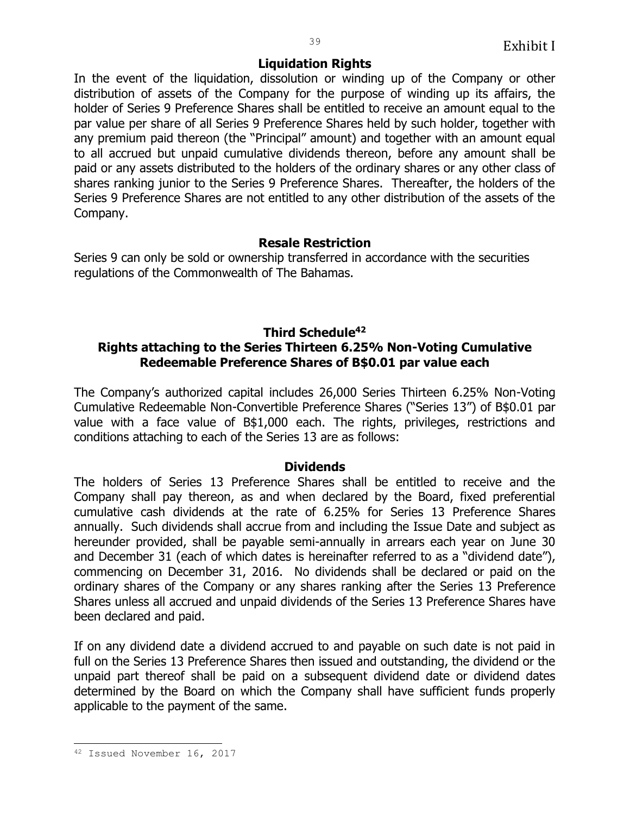#### **Liquidation Rights**

In the event of the liquidation, dissolution or winding up of the Company or other distribution of assets of the Company for the purpose of winding up its affairs, the holder of Series 9 Preference Shares shall be entitled to receive an amount equal to the par value per share of all Series 9 Preference Shares held by such holder, together with any premium paid thereon (the "Principal" amount) and together with an amount equal to all accrued but unpaid cumulative dividends thereon, before any amount shall be paid or any assets distributed to the holders of the ordinary shares or any other class of shares ranking junior to the Series 9 Preference Shares. Thereafter, the holders of the Series 9 Preference Shares are not entitled to any other distribution of the assets of the Company.

#### **Resale Restriction**

Series 9 can only be sold or ownership transferred in accordance with the securities regulations of the Commonwealth of The Bahamas.

# **Third Schedule<sup>42</sup>**

## **Rights attaching to the Series Thirteen 6.25% Non-Voting Cumulative Redeemable Preference Shares of B\$0.01 par value each**

The Company's authorized capital includes 26,000 Series Thirteen 6.25% Non-Voting Cumulative Redeemable Non-Convertible Preference Shares ("Series 13") of B\$0.01 par value with a face value of B\$1,000 each. The rights, privileges, restrictions and conditions attaching to each of the Series 13 are as follows:

#### **Dividends**

The holders of Series 13 Preference Shares shall be entitled to receive and the Company shall pay thereon, as and when declared by the Board, fixed preferential cumulative cash dividends at the rate of 6.25% for Series 13 Preference Shares annually. Such dividends shall accrue from and including the Issue Date and subject as hereunder provided, shall be payable semi-annually in arrears each year on June 30 and December 31 (each of which dates is hereinafter referred to as a "dividend date"), commencing on December 31, 2016. No dividends shall be declared or paid on the ordinary shares of the Company or any shares ranking after the Series 13 Preference Shares unless all accrued and unpaid dividends of the Series 13 Preference Shares have been declared and paid.

If on any dividend date a dividend accrued to and payable on such date is not paid in full on the Series 13 Preference Shares then issued and outstanding, the dividend or the unpaid part thereof shall be paid on a subsequent dividend date or dividend dates determined by the Board on which the Company shall have sufficient funds properly applicable to the payment of the same.

ı.

<sup>42</sup> Issued November 16, 2017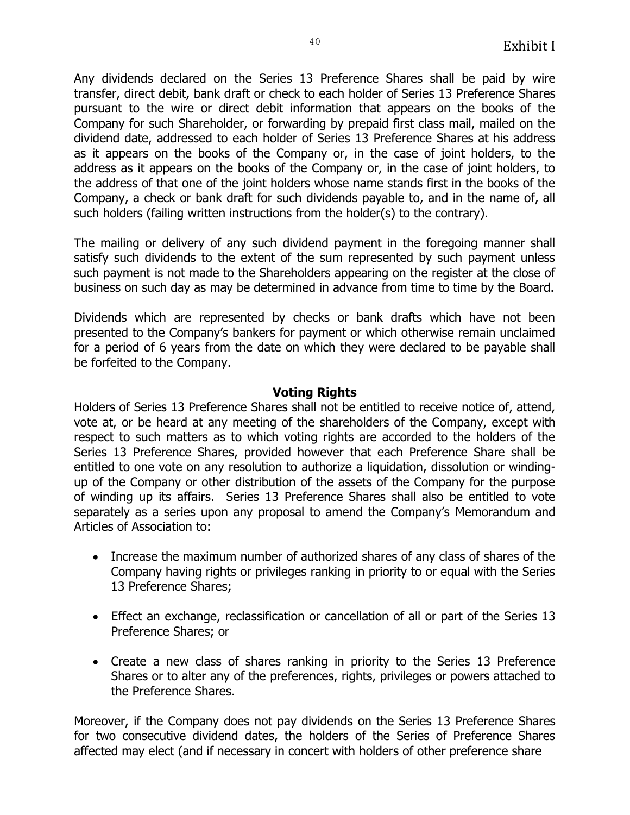Any dividends declared on the Series 13 Preference Shares shall be paid by wire transfer, direct debit, bank draft or check to each holder of Series 13 Preference Shares pursuant to the wire or direct debit information that appears on the books of the Company for such Shareholder, or forwarding by prepaid first class mail, mailed on the dividend date, addressed to each holder of Series 13 Preference Shares at his address as it appears on the books of the Company or, in the case of joint holders, to the address as it appears on the books of the Company or, in the case of joint holders, to the address of that one of the joint holders whose name stands first in the books of the Company, a check or bank draft for such dividends payable to, and in the name of, all such holders (failing written instructions from the holder(s) to the contrary).

The mailing or delivery of any such dividend payment in the foregoing manner shall satisfy such dividends to the extent of the sum represented by such payment unless such payment is not made to the Shareholders appearing on the register at the close of business on such day as may be determined in advance from time to time by the Board.

Dividends which are represented by checks or bank drafts which have not been presented to the Company's bankers for payment or which otherwise remain unclaimed for a period of 6 years from the date on which they were declared to be payable shall be forfeited to the Company.

#### **Voting Rights**

Holders of Series 13 Preference Shares shall not be entitled to receive notice of, attend, vote at, or be heard at any meeting of the shareholders of the Company, except with respect to such matters as to which voting rights are accorded to the holders of the Series 13 Preference Shares, provided however that each Preference Share shall be entitled to one vote on any resolution to authorize a liquidation, dissolution or windingup of the Company or other distribution of the assets of the Company for the purpose of winding up its affairs. Series 13 Preference Shares shall also be entitled to vote separately as a series upon any proposal to amend the Company's Memorandum and Articles of Association to:

- Increase the maximum number of authorized shares of any class of shares of the Company having rights or privileges ranking in priority to or equal with the Series 13 Preference Shares;
- Effect an exchange, reclassification or cancellation of all or part of the Series 13 Preference Shares; or
- Create a new class of shares ranking in priority to the Series 13 Preference Shares or to alter any of the preferences, rights, privileges or powers attached to the Preference Shares.

Moreover, if the Company does not pay dividends on the Series 13 Preference Shares for two consecutive dividend dates, the holders of the Series of Preference Shares affected may elect (and if necessary in concert with holders of other preference share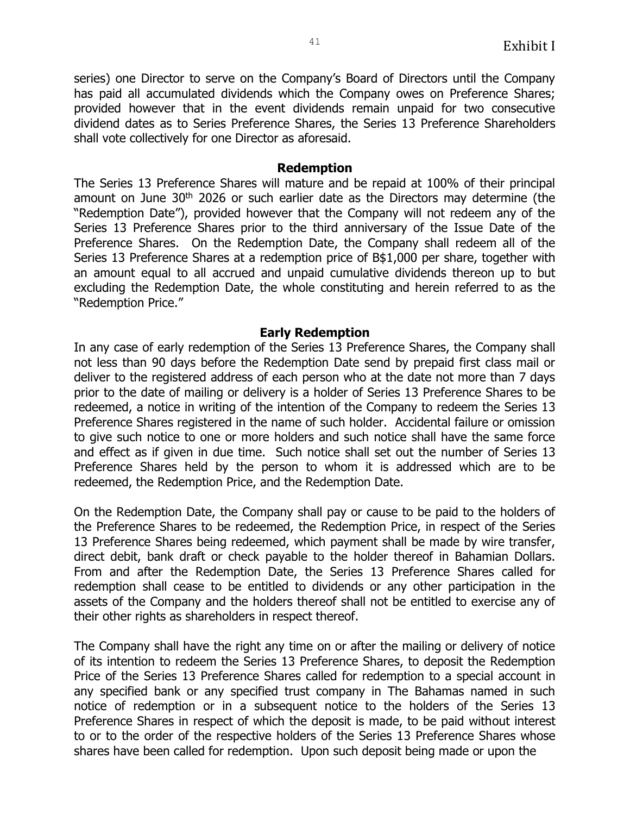series) one Director to serve on the Company's Board of Directors until the Company has paid all accumulated dividends which the Company owes on Preference Shares; provided however that in the event dividends remain unpaid for two consecutive dividend dates as to Series Preference Shares, the Series 13 Preference Shareholders shall vote collectively for one Director as aforesaid.

#### **Redemption**

The Series 13 Preference Shares will mature and be repaid at 100% of their principal amount on June 30<sup>th</sup> 2026 or such earlier date as the Directors may determine (the "Redemption Date"), provided however that the Company will not redeem any of the Series 13 Preference Shares prior to the third anniversary of the Issue Date of the Preference Shares. On the Redemption Date, the Company shall redeem all of the Series 13 Preference Shares at a redemption price of B\$1,000 per share, together with an amount equal to all accrued and unpaid cumulative dividends thereon up to but excluding the Redemption Date, the whole constituting and herein referred to as the "Redemption Price."

#### **Early Redemption**

In any case of early redemption of the Series 13 Preference Shares, the Company shall not less than 90 days before the Redemption Date send by prepaid first class mail or deliver to the registered address of each person who at the date not more than 7 days prior to the date of mailing or delivery is a holder of Series 13 Preference Shares to be redeemed, a notice in writing of the intention of the Company to redeem the Series 13 Preference Shares registered in the name of such holder. Accidental failure or omission to give such notice to one or more holders and such notice shall have the same force and effect as if given in due time. Such notice shall set out the number of Series 13 Preference Shares held by the person to whom it is addressed which are to be redeemed, the Redemption Price, and the Redemption Date.

On the Redemption Date, the Company shall pay or cause to be paid to the holders of the Preference Shares to be redeemed, the Redemption Price, in respect of the Series 13 Preference Shares being redeemed, which payment shall be made by wire transfer, direct debit, bank draft or check payable to the holder thereof in Bahamian Dollars. From and after the Redemption Date, the Series 13 Preference Shares called for redemption shall cease to be entitled to dividends or any other participation in the assets of the Company and the holders thereof shall not be entitled to exercise any of their other rights as shareholders in respect thereof.

The Company shall have the right any time on or after the mailing or delivery of notice of its intention to redeem the Series 13 Preference Shares, to deposit the Redemption Price of the Series 13 Preference Shares called for redemption to a special account in any specified bank or any specified trust company in The Bahamas named in such notice of redemption or in a subsequent notice to the holders of the Series 13 Preference Shares in respect of which the deposit is made, to be paid without interest to or to the order of the respective holders of the Series 13 Preference Shares whose shares have been called for redemption. Upon such deposit being made or upon the